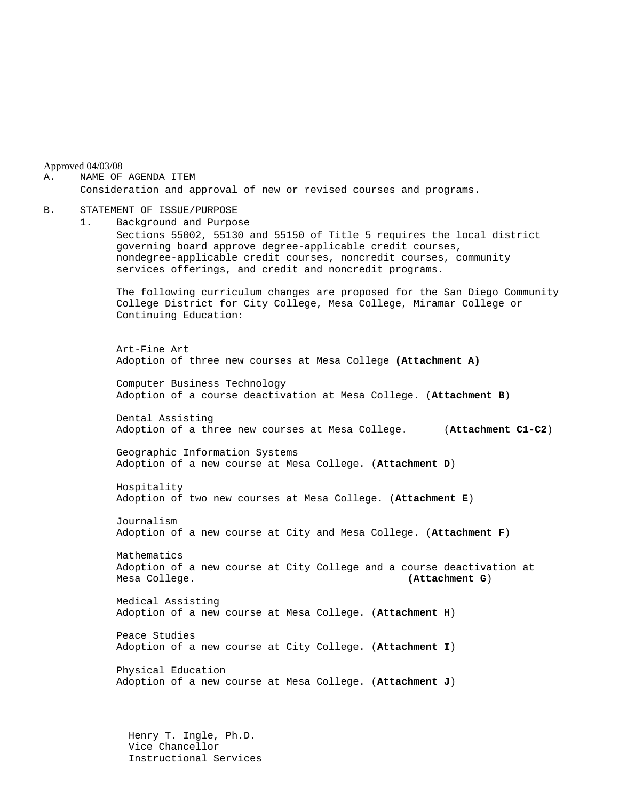Approved 04/03/08

#### A. NAME OF AGENDA ITEM

Consideration and approval of new or revised courses and programs.

#### B. STATEMENT OF ISSUE/PURPOSE

1. Background and Purpose Sections 55002, 55130 and 55150 of Title 5 requires the local district governing board approve degree-applicable credit courses, nondegree-applicable credit courses, noncredit courses, community services offerings, and credit and noncredit programs. The following curriculum changes are proposed for the San Diego Community College District for City College, Mesa College, Miramar College or Continuing Education: Art-Fine Art Adoption of three new courses at Mesa College **(Attachment A)** Computer Business Technology Adoption of a course deactivation at Mesa College. (**Attachment B**) Dental Assisting Adoption of a three new courses at Mesa College. (**Attachment C1-C2**) Geographic Information Systems Adoption of a new course at Mesa College. (**Attachment D**) Hospitality Adoption of two new courses at Mesa College. (**Attachment E**) Journalism Adoption of a new course at City and Mesa College. (**Attachment F**) Mathematics Adoption of a new course at City College and a course deactivation at Mesa College. **(Attachment G**) Medical Assisting Adoption of a new course at Mesa College. (**Attachment H**) Peace Studies Adoption of a new course at City College. (**Attachment I**)

Physical Education Adoption of a new course at Mesa College. (**Attachment J**)

 Henry T. Ingle, Ph.D. Vice Chancellor Instructional Services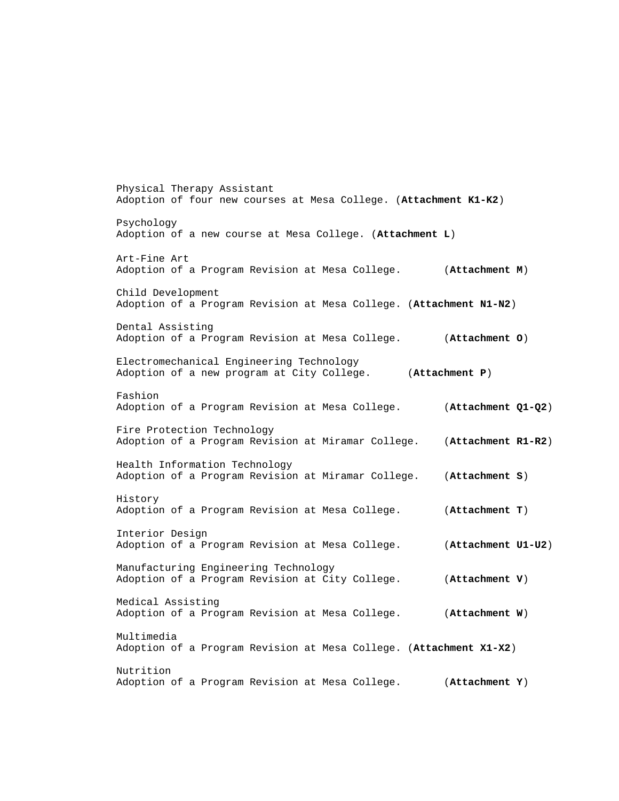Physical Therapy Assistant Adoption of four new courses at Mesa College. (**Attachment K1-K2**) Psychology Adoption of a new course at Mesa College. (**Attachment L**) Art-Fine Art Adoption of a Program Revision at Mesa College. (**Attachment M**) Child Development Adoption of a Program Revision at Mesa College. (**Attachment N1-N2**) Dental Assisting Adoption of a Program Revision at Mesa College. (**Attachment O**) Electromechanical Engineering Technology Adoption of a new program at City College. (**Attachment P**) Fashion Adoption of a Program Revision at Mesa College. (**Attachment Q1-Q2**) Fire Protection Technology Adoption of a Program Revision at Miramar College. (**Attachment R1-R2**) Health Information Technology Adoption of a Program Revision at Miramar College. (**Attachment S**) History Adoption of a Program Revision at Mesa College. (**Attachment T**) Interior Design Adoption of a Program Revision at Mesa College. (**Attachment U1-U2**) Manufacturing Engineering Technology Adoption of a Program Revision at City College. (**Attachment V**) Medical Assisting Adoption of a Program Revision at Mesa College. (**Attachment W**) Multimedia Adoption of a Program Revision at Mesa College. (**Attachment X1-X2**) Nutrition Adoption of a Program Revision at Mesa College. (**Attachment Y**)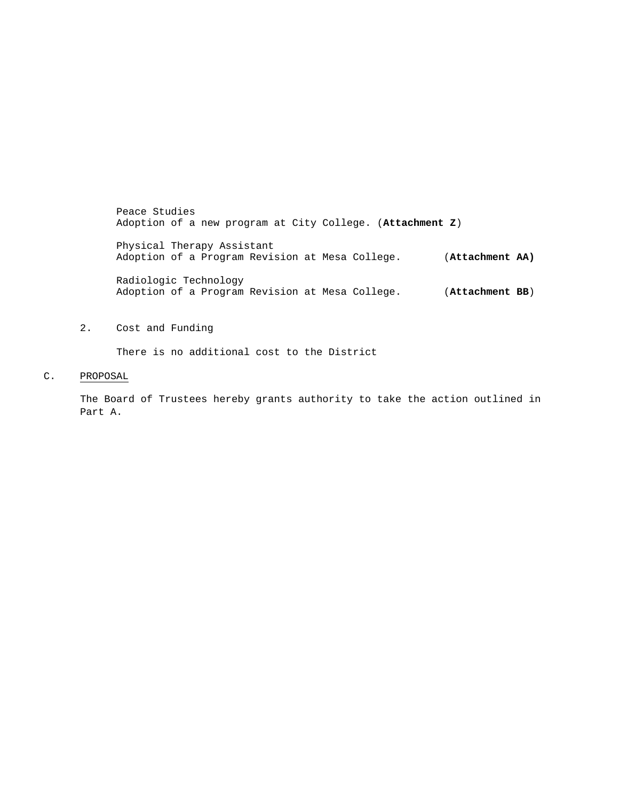Peace Studies Adoption of a new program at City College. (**Attachment Z**)

Physical Therapy Assistant Adoption of a Program Revision at Mesa College. (**Attachment AA)**

Radiologic Technology Adoption of a Program Revision at Mesa College. (**Attachment BB**)

#### 2. Cost and Funding

There is no additional cost to the District

#### C. PROPOSAL

The Board of Trustees hereby grants authority to take the action outlined in Part A.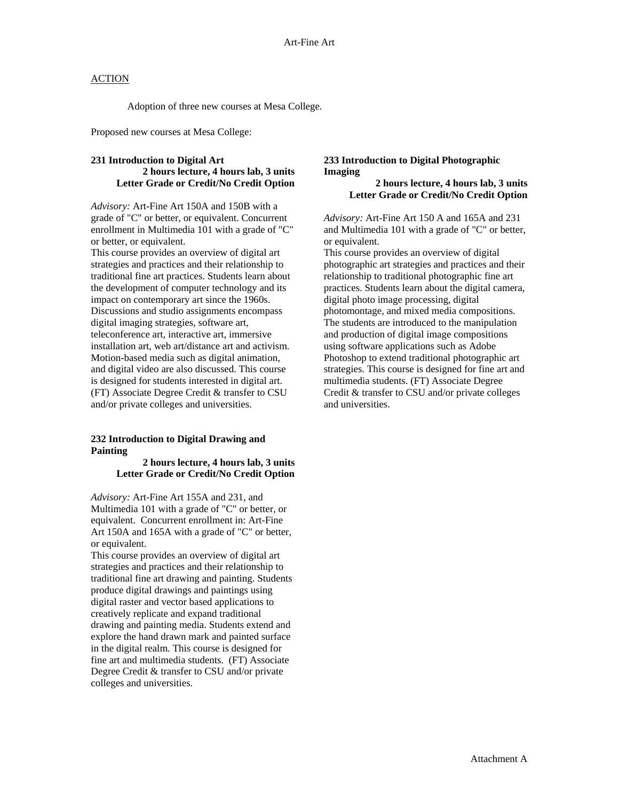Adoption of three new courses at Mesa College.

Proposed new courses at Mesa College:

#### **231 Introduction to Digital Art 2 hours lecture, 4 hours lab, 3 units Letter Grade or Credit/No Credit Option**

*Advisory:* Art-Fine Art 150A and 150B with a grade of "C" or better, or equivalent. Concurrent enrollment in Multimedia 101 with a grade of "C" or better, or equivalent.

This course provides an overview of digital art strategies and practices and their relationship to traditional fine art practices. Students learn about the development of computer technology and its impact on contemporary art since the 1960s. Discussions and studio assignments encompass digital imaging strategies, software art, teleconference art, interactive art, immersive installation art, web art/distance art and activism. Motion-based media such as digital animation, and digital video are also discussed. This course is designed for students interested in digital art. (FT) Associate Degree Credit & transfer to CSU and/or private colleges and universities.

### **232 Introduction to Digital Drawing and Painting**

#### **2 hours lecture, 4 hours lab, 3 units Letter Grade or Credit/No Credit Option**

*Advisory:* Art-Fine Art 155A and 231, and Multimedia 101 with a grade of "C" or better, or equivalent. Concurrent enrollment in: Art-Fine Art 150A and 165A with a grade of "C" or better, or equivalent.

This course provides an overview of digital art strategies and practices and their relationship to traditional fine art drawing and painting. Students produce digital drawings and paintings using digital raster and vector based applications to creatively replicate and expand traditional drawing and painting media. Students extend and explore the hand drawn mark and painted surface in the digital realm. This course is designed for fine art and multimedia students. (FT) Associate Degree Credit & transfer to CSU and/or private colleges and universities.

#### **233 Introduction to Digital Photographic Imaging**

#### **2 hours lecture, 4 hours lab, 3 units Letter Grade or Credit/No Credit Option**

*Advisory:* Art-Fine Art 150 A and 165A and 231 and Multimedia 101 with a grade of "C" or better, or equivalent.

This course provides an overview of digital photographic art strategies and practices and their relationship to traditional photographic fine art practices. Students learn about the digital camera, digital photo image processing, digital photomontage, and mixed media compositions. The students are introduced to the manipulation and production of digital image compositions using software applications such as Adobe Photoshop to extend traditional photographic art strategies. This course is designed for fine art and multimedia students. (FT) Associate Degree Credit & transfer to CSU and/or private colleges and universities.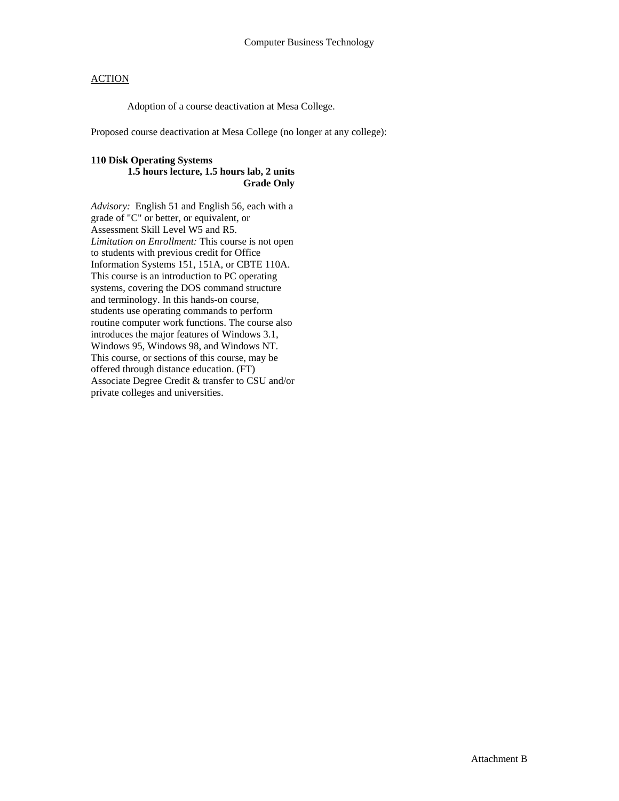Adoption of a course deactivation at Mesa College.

Proposed course deactivation at Mesa College (no longer at any college):

### **110 Disk Operating Systems**

#### **1.5 hours lecture, 1.5 hours lab, 2 units Grade Only**

*Advisory:* English 51 and English 56, each with a grade of "C" or better, or equivalent, or Assessment Skill Level W5 and R5. *Limitation on Enrollment:* This course is not open to students with previous credit for Office Information Systems 151, 151A, or CBTE 110A. This course is an introduction to PC operating systems, covering the DOS command structure and terminology. In this hands-on course, students use operating commands to perform routine computer work functions. The course also introduces the major features of Windows 3.1, Windows 95, Windows 98, and Windows NT. This course, or sections of this course, may be offered through distance education. (FT) Associate Degree Credit & transfer to CSU and/or private colleges and universities.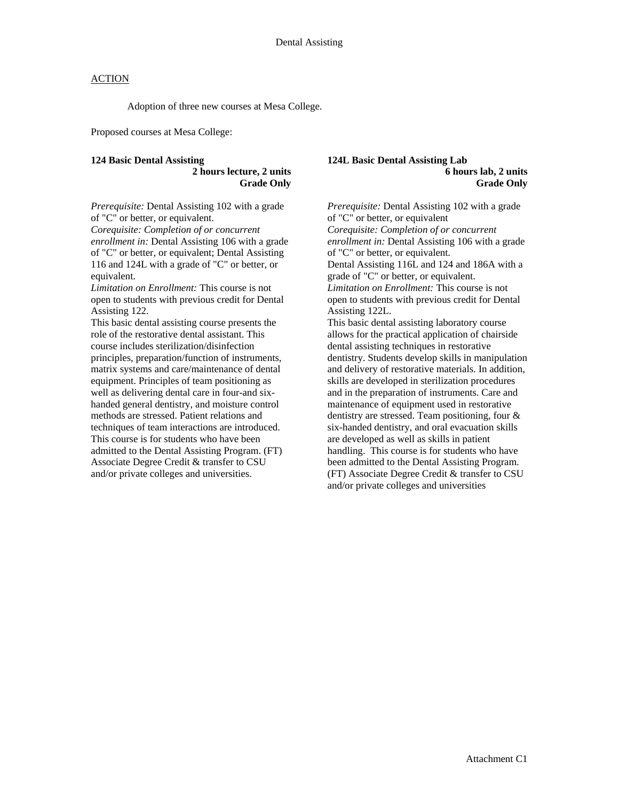Adoption of three new courses at Mesa College.

Proposed courses at Mesa College:

#### **124 Basic Dental Assisting 2 hours lecture, 2 units Grade Only**

*Prerequisite:* Dental Assisting 102 with a grade of "C" or better, or equivalent.

*Corequisite: Completion of or concurrent enrollment in:* Dental Assisting 106 with a grade of "C" or better, or equivalent; Dental Assisting 116 and 124L with a grade of "C" or better, or equivalent.

*Limitation on Enrollment:* This course is not open to students with previous credit for Dental Assisting 122.

This basic dental assisting course presents the role of the restorative dental assistant. This course includes sterilization/disinfection principles, preparation/function of instruments, matrix systems and care/maintenance of dental equipment. Principles of team positioning as well as delivering dental care in four-and sixhanded general dentistry, and moisture control methods are stressed. Patient relations and techniques of team interactions are introduced. This course is for students who have been admitted to the Dental Assisting Program. (FT) Associate Degree Credit & transfer to CSU and/or private colleges and universities.

#### **124L Basic Dental Assisting Lab 6 hours lab, 2 units Grade Only**

*Prerequisite:* Dental Assisting 102 with a grade of "C" or better, or equivalent *Corequisite: Completion of or concurrent enrollment in:* Dental Assisting 106 with a grade of "C" or better, or equivalent. Dental Assisting 116L and 124 and 186A with a grade of "C" or better, or equivalent. *Limitation on Enrollment:* This course is not open to students with previous credit for Dental Assisting 122L. This basic dental assisting laboratory course allows for the practical application of chairside

dental assisting techniques in restorative dentistry. Students develop skills in manipulation and delivery of restorative materials. In addition, skills are developed in sterilization procedures and in the preparation of instruments. Care and maintenance of equipment used in restorative dentistry are stressed. Team positioning, four & six-handed dentistry, and oral evacuation skills are developed as well as skills in patient handling. This course is for students who have been admitted to the Dental Assisting Program. (FT) Associate Degree Credit & transfer to CSU and/or private colleges and universities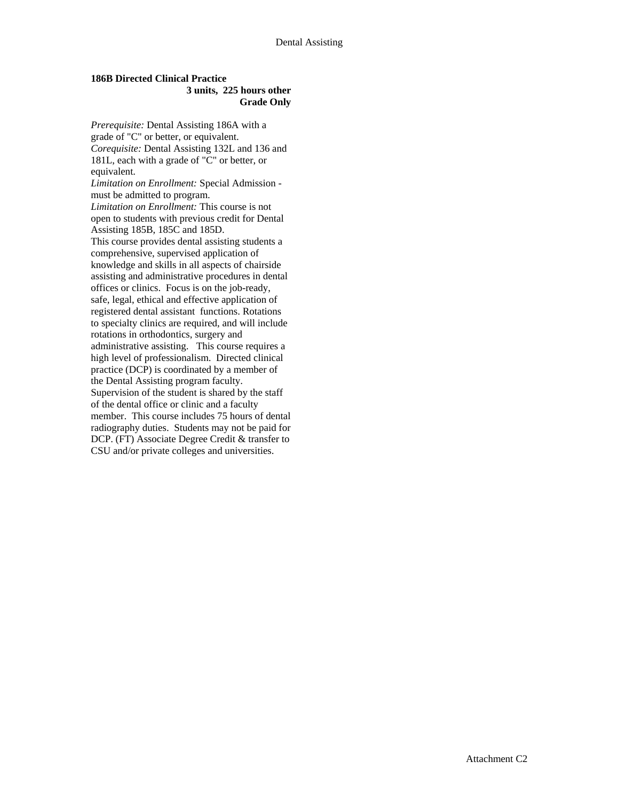### **186B Directed Clinical Practice 3 units, 225 hours other Grade Only**

*Prerequisite:* Dental Assisting 186A with a grade of "C" or better, or equivalent. *Corequisite:* Dental Assisting 132L and 136 and 181L, each with a grade of "C" or better, or equivalent. *Limitation on Enrollment:* Special Admission must be admitted to program. *Limitation on Enrollment:* This course is not open to students with previous credit for Dental Assisting 185B, 185C and 185D. This course provides dental assisting students a comprehensive, supervised application of knowledge and skills in all aspects of chairside assisting and administrative procedures in dental offices or clinics. Focus is on the job-ready, safe, legal, ethical and effective application of registered dental assistant functions. Rotations to specialty clinics are required, and will include rotations in orthodontics, surgery and administrative assisting. This course requires a high level of professionalism. Directed clinical practice (DCP) is coordinated by a member of the Dental Assisting program faculty. Supervision of the student is shared by the staff of the dental office or clinic and a faculty member. This course includes 75 hours of dental radiography duties. Students may not be paid for DCP. (FT) Associate Degree Credit & transfer to CSU and/or private colleges and universities.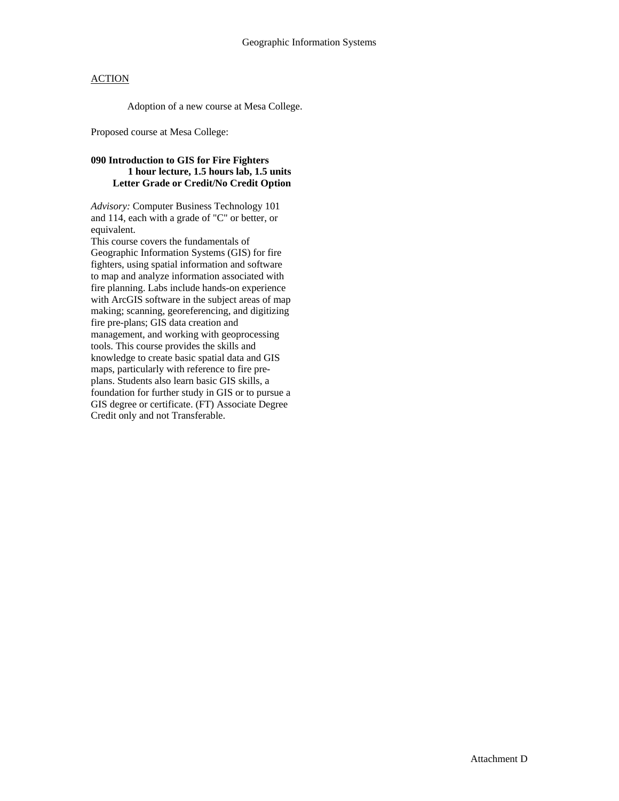Adoption of a new course at Mesa College.

Proposed course at Mesa College:

### **090 Introduction to GIS for Fire Fighters 1 hour lecture, 1.5 hours lab, 1.5 units Letter Grade or Credit/No Credit Option**

*Advisory:* Computer Business Technology 101 and 114, each with a grade of "C" or better, or equivalent.

This course covers the fundamentals of Geographic Information Systems (GIS) for fire fighters, using spatial information and software to map and analyze information associated with fire planning. Labs include hands-on experience with ArcGIS software in the subject areas of map making; scanning, georeferencing, and digitizing fire pre-plans; GIS data creation and management, and working with geoprocessing tools. This course provides the skills and knowledge to create basic spatial data and GIS maps, particularly with reference to fire preplans. Students also learn basic GIS skills, a foundation for further study in GIS or to pursue a GIS degree or certificate. (FT) Associate Degree Credit only and not Transferable.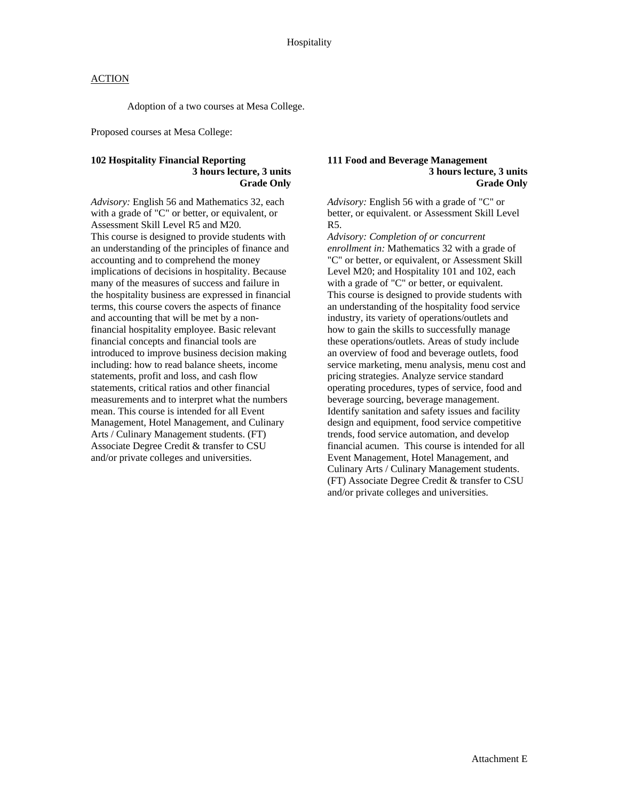Adoption of a two courses at Mesa College.

Proposed courses at Mesa College:

#### **102 Hospitality Financial Reporting 3 hours lecture, 3 units Grade Only**

*Advisory:* English 56 and Mathematics 32, each with a grade of "C" or better, or equivalent, or Assessment Skill Level R5 and M20*.*  This course is designed to provide students with an understanding of the principles of finance and accounting and to comprehend the money implications of decisions in hospitality. Because many of the measures of success and failure in the hospitality business are expressed in financial terms, this course covers the aspects of finance and accounting that will be met by a nonfinancial hospitality employee. Basic relevant financial concepts and financial tools are introduced to improve business decision making including: how to read balance sheets, income statements, profit and loss, and cash flow statements, critical ratios and other financial measurements and to interpret what the numbers mean. This course is intended for all Event Management, Hotel Management, and Culinary Arts / Culinary Management students. (FT) Associate Degree Credit & transfer to CSU and/or private colleges and universities.

#### **111 Food and Beverage Management 3 hours lecture, 3 units Grade Only**

*Advisory:* English 56 with a grade of "C" or better, or equivalent. or Assessment Skill Level R5.

*Advisory: Completion of or concurrent enrollment in:* Mathematics 32 with a grade of "C" or better, or equivalent, or Assessment Skill Level M20; and Hospitality 101 and 102, each with a grade of "C" or better, or equivalent. This course is designed to provide students with an understanding of the hospitality food service industry, its variety of operations/outlets and how to gain the skills to successfully manage these operations/outlets. Areas of study include an overview of food and beverage outlets, food service marketing, menu analysis, menu cost and pricing strategies. Analyze service standard operating procedures, types of service, food and beverage sourcing, beverage management. Identify sanitation and safety issues and facility design and equipment, food service competitive trends, food service automation, and develop financial acumen. This course is intended for all Event Management, Hotel Management, and Culinary Arts / Culinary Management students. (FT) Associate Degree Credit & transfer to CSU and/or private colleges and universities.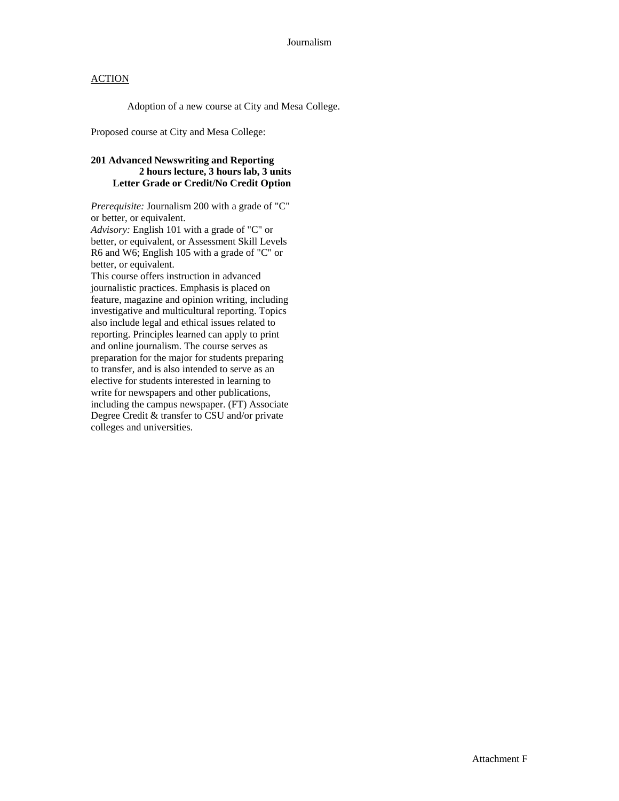Adoption of a new course at City and Mesa College.

Proposed course at City and Mesa College:

### **201 Advanced Newswriting and Reporting 2 hours lecture, 3 hours lab, 3 units Letter Grade or Credit/No Credit Option**

*Prerequisite:* Journalism 200 with a grade of "C" or better, or equivalent.

*Advisory:* English 101 with a grade of "C" or better, or equivalent, or Assessment Skill Levels R6 and W6; English 105 with a grade of "C" or better, or equivalent.

This course offers instruction in advanced journalistic practices. Emphasis is placed on feature, magazine and opinion writing, including investigative and multicultural reporting. Topics also include legal and ethical issues related to reporting. Principles learned can apply to print and online journalism. The course serves as preparation for the major for students preparing to transfer, and is also intended to serve as an elective for students interested in learning to write for newspapers and other publications, including the campus newspaper. (FT) Associate Degree Credit & transfer to CSU and/or private colleges and universities.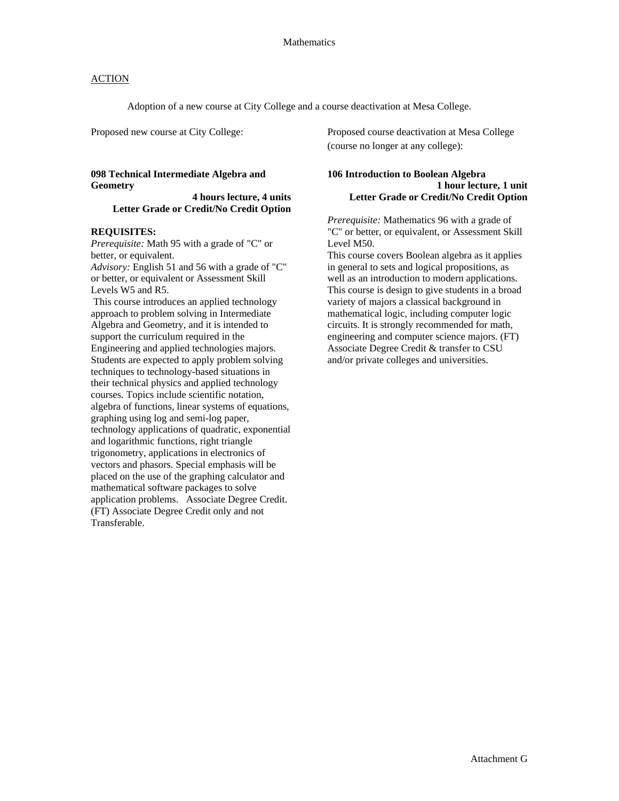Adoption of a new course at City College and a course deactivation at Mesa College.

#### **098 Technical Intermediate Algebra and Geometry**

 **4 hours lecture, 4 units Letter Grade or Credit/No Credit Option** 

#### **REQUISITES:**

*Prerequisite:* Math 95 with a grade of "C" or better, or equivalent. *Advisory:* English 51 and 56 with a grade of "C"

or better, or equivalent or Assessment Skill Levels W5 and R5.

 This course introduces an applied technology approach to problem solving in Intermediate Algebra and Geometry, and it is intended to support the curriculum required in the Engineering and applied technologies majors. Students are expected to apply problem solving techniques to technology-based situations in their technical physics and applied technology courses. Topics include scientific notation, algebra of functions, linear systems of equations, graphing using log and semi-log paper, technology applications of quadratic, exponential and logarithmic functions, right triangle trigonometry, applications in electronics of vectors and phasors. Special emphasis will be placed on the use of the graphing calculator and mathematical software packages to solve application problems. Associate Degree Credit. (FT) Associate Degree Credit only and not Transferable.

Proposed new course at City College: Proposed course deactivation at Mesa College (course no longer at any college):

#### **106 Introduction to Boolean Algebra 1 hour lecture, 1 unit Letter Grade or Credit/No Credit Option**

*Prerequisite:* Mathematics 96 with a grade of "C" or better, or equivalent, or Assessment Skill Level M50.

This course covers Boolean algebra as it applies in general to sets and logical propositions, as well as an introduction to modern applications. This course is design to give students in a broad variety of majors a classical background in mathematical logic, including computer logic circuits. It is strongly recommended for math, engineering and computer science majors. (FT) Associate Degree Credit & transfer to CSU and/or private colleges and universities.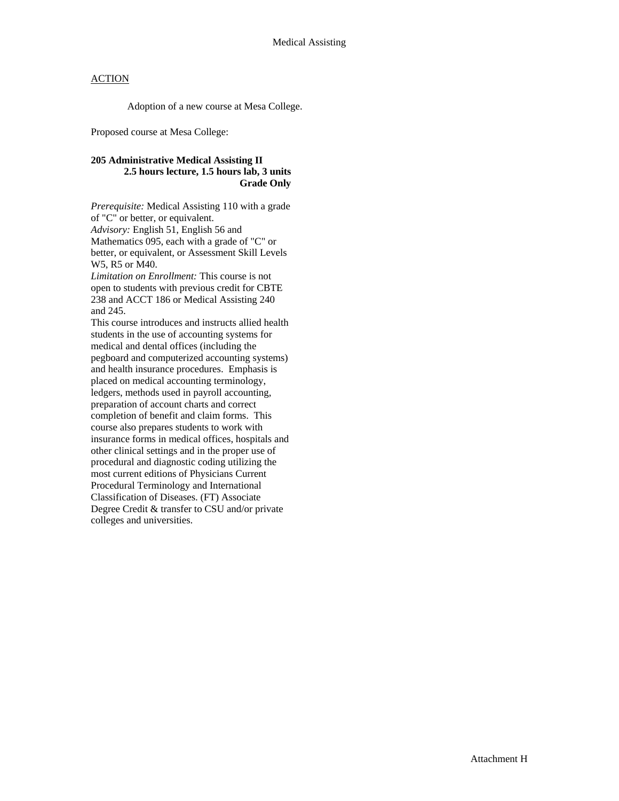Adoption of a new course at Mesa College.

Proposed course at Mesa College:

### **205 Administrative Medical Assisting II 2.5 hours lecture, 1.5 hours lab, 3 units Grade Only**

*Prerequisite:* Medical Assisting 110 with a grade of "C" or better, or equivalent. *Advisory:* English 51, English 56 and Mathematics 095, each with a grade of "C" or better, or equivalent, or Assessment Skill Levels W5, R5 or M40.

*Limitation on Enrollment:* This course is not open to students with previous credit for CBTE 238 and ACCT 186 or Medical Assisting 240 and 245.

This course introduces and instructs allied health students in the use of accounting systems for medical and dental offices (including the pegboard and computerized accounting systems) and health insurance procedures. Emphasis is placed on medical accounting terminology, ledgers, methods used in payroll accounting, preparation of account charts and correct completion of benefit and claim forms. This course also prepares students to work with insurance forms in medical offices, hospitals and other clinical settings and in the proper use of procedural and diagnostic coding utilizing the most current editions of Physicians Current Procedural Terminology and International Classification of Diseases. (FT) Associate Degree Credit & transfer to CSU and/or private colleges and universities.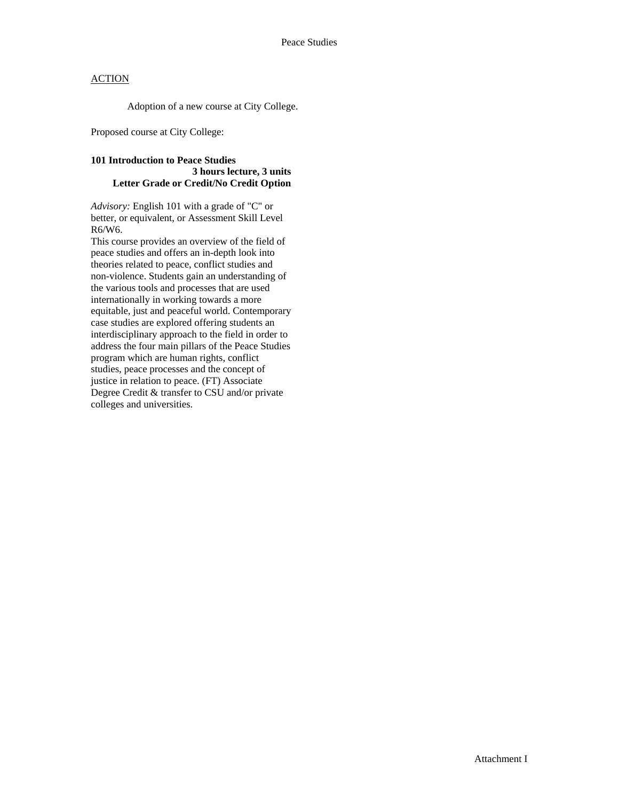Adoption of a new course at City College.

Proposed course at City College:

### **101 Introduction to Peace Studies 3 hours lecture, 3 units Letter Grade or Credit/No Credit Option**

*Advisory:* English 101 with a grade of "C" or better, or equivalent, or Assessment Skill Level R6/W6.

This course provides an overview of the field of peace studies and offers an in-depth look into theories related to peace, conflict studies and non-violence. Students gain an understanding of the various tools and processes that are used internationally in working towards a more equitable, just and peaceful world. Contemporary case studies are explored offering students an interdisciplinary approach to the field in order to address the four main pillars of the Peace Studies program which are human rights, conflict studies, peace processes and the concept of justice in relation to peace. (FT) Associate Degree Credit & transfer to CSU and/or private colleges and universities.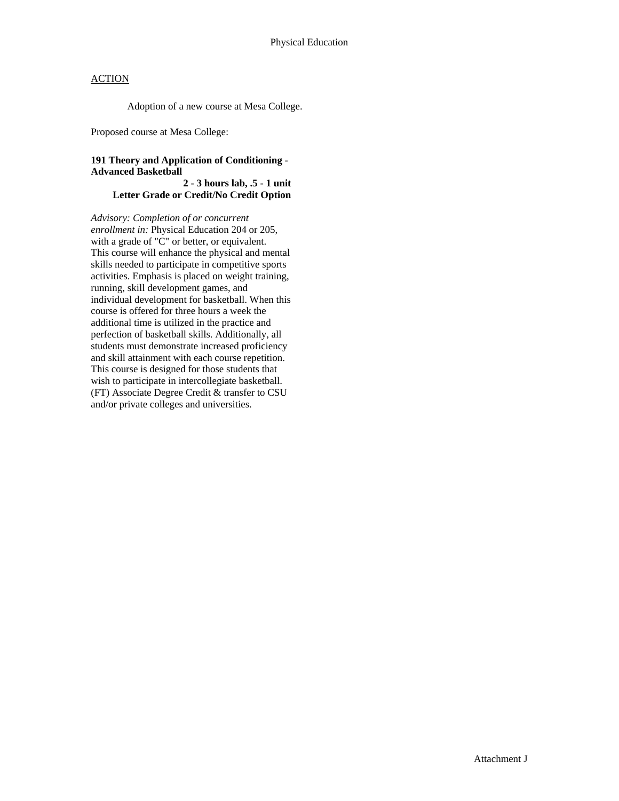Adoption of a new course at Mesa College.

Proposed course at Mesa College:

### **191 Theory and Application of Conditioning - Advanced Basketball**

 **2 - 3 hours lab, .5 - 1 unit Letter Grade or Credit/No Credit Option** 

*Advisory: Completion of or concurrent enrollment in:* Physical Education 204 or 205, with a grade of "C" or better, or equivalent. This course will enhance the physical and mental skills needed to participate in competitive sports activities. Emphasis is placed on weight training, running, skill development games, and individual development for basketball. When this course is offered for three hours a week the additional time is utilized in the practice and perfection of basketball skills. Additionally, all students must demonstrate increased proficiency and skill attainment with each course repetition. This course is designed for those students that wish to participate in intercollegiate basketball. (FT) Associate Degree Credit & transfer to CSU and/or private colleges and universities.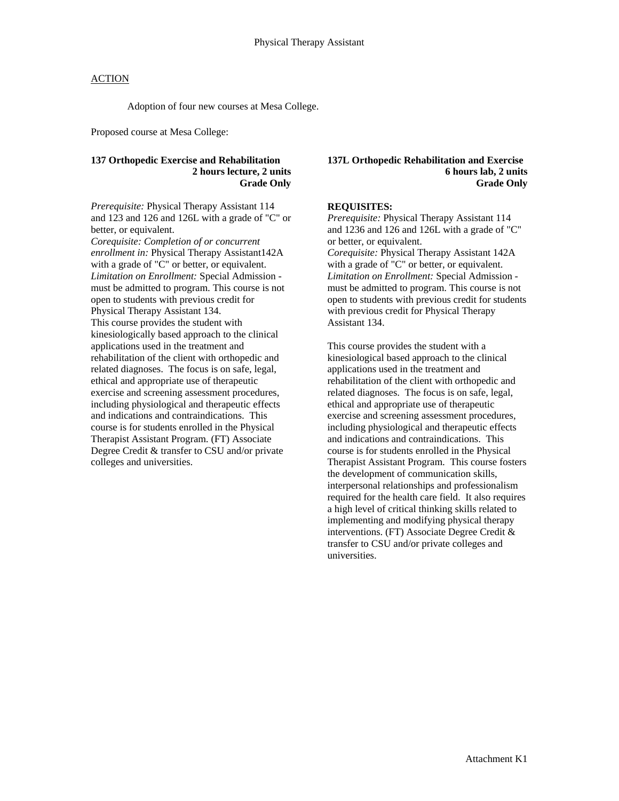Adoption of four new courses at Mesa College.

Proposed course at Mesa College:

### **137 Orthopedic Exercise and Rehabilitation 2 hours lecture, 2 units Grade Only**

*Prerequisite:* Physical Therapy Assistant 114 and 123 and 126 and 126L with a grade of "C" or better, or equivalent. *Corequisite: Completion of or concurrent enrollment in:* Physical Therapy Assistant142A

with a grade of "C" or better, or equivalent. *Limitation on Enrollment:* Special Admission must be admitted to program. This course is not open to students with previous credit for Physical Therapy Assistant 134. This course provides the student with kinesiologically based approach to the clinical applications used in the treatment and rehabilitation of the client with orthopedic and related diagnoses. The focus is on safe, legal, ethical and appropriate use of therapeutic exercise and screening assessment procedures, including physiological and therapeutic effects and indications and contraindications. This course is for students enrolled in the Physical Therapist Assistant Program. (FT) Associate Degree Credit & transfer to CSU and/or private colleges and universities.

#### **137L Orthopedic Rehabilitation and Exercise 6 hours lab, 2 units Grade Only**

### **REQUISITES:**

*Prerequisite:* Physical Therapy Assistant 114 and 1236 and 126 and 126L with a grade of "C" or better, or equivalent. *Corequisite:* Physical Therapy Assistant 142A with a grade of "C" or better, or equivalent. *Limitation on Enrollment:* Special Admission must be admitted to program. This course is not open to students with previous credit for students with previous credit for Physical Therapy Assistant 134.

This course provides the student with a kinesiological based approach to the clinical applications used in the treatment and rehabilitation of the client with orthopedic and related diagnoses. The focus is on safe, legal, ethical and appropriate use of therapeutic exercise and screening assessment procedures, including physiological and therapeutic effects and indications and contraindications. This course is for students enrolled in the Physical Therapist Assistant Program. This course fosters the development of communication skills, interpersonal relationships and professionalism required for the health care field. It also requires a high level of critical thinking skills related to implementing and modifying physical therapy interventions. (FT) Associate Degree Credit & transfer to CSU and/or private colleges and universities.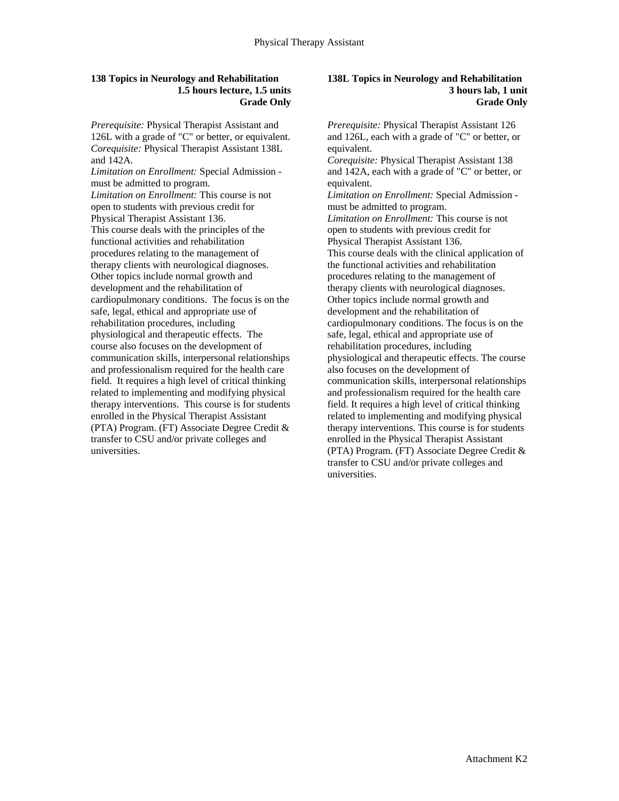#### **138 Topics in Neurology and Rehabilitation 1.5 hours lecture, 1.5 units Grade Only**

*Prerequisite:* Physical Therapist Assistant and 126L with a grade of "C" or better, or equivalent. *Corequisite:* Physical Therapist Assistant 138L and 142A.

*Limitation on Enrollment:* Special Admission must be admitted to program.

*Limitation on Enrollment:* This course is not open to students with previous credit for Physical Therapist Assistant 136. This course deals with the principles of the functional activities and rehabilitation procedures relating to the management of therapy clients with neurological diagnoses. Other topics include normal growth and development and the rehabilitation of cardiopulmonary conditions. The focus is on the safe, legal, ethical and appropriate use of rehabilitation procedures, including physiological and therapeutic effects. The course also focuses on the development of communication skills, interpersonal relationships and professionalism required for the health care field. It requires a high level of critical thinking related to implementing and modifying physical therapy interventions. This course is for students enrolled in the Physical Therapist Assistant (PTA) Program. (FT) Associate Degree Credit & transfer to CSU and/or private colleges and universities.

#### **138L Topics in Neurology and Rehabilitation 3 hours lab, 1 unit Grade Only**

*Prerequisite:* Physical Therapist Assistant 126 and 126L, each with a grade of "C" or better, or equivalent. *Corequisite:* Physical Therapist Assistant 138 and 142A, each with a grade of "C" or better, or equivalent. *Limitation on Enrollment:* Special Admission must be admitted to program. *Limitation on Enrollment:* This course is not open to students with previous credit for Physical Therapist Assistant 136. This course deals with the clinical application of the functional activities and rehabilitation procedures relating to the management of therapy clients with neurological diagnoses. Other topics include normal growth and development and the rehabilitation of cardiopulmonary conditions. The focus is on the safe, legal, ethical and appropriate use of rehabilitation procedures, including physiological and therapeutic effects. The course also focuses on the development of communication skills, interpersonal relationships and professionalism required for the health care field. It requires a high level of critical thinking related to implementing and modifying physical therapy interventions. This course is for students enrolled in the Physical Therapist Assistant (PTA) Program. (FT) Associate Degree Credit & transfer to CSU and/or private colleges and universities.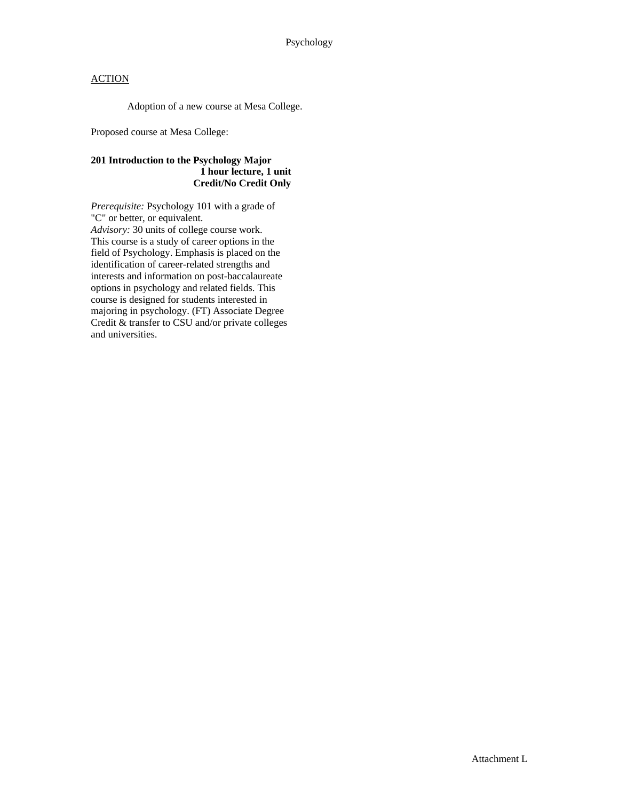Adoption of a new course at Mesa College.

Proposed course at Mesa College:

### **201 Introduction to the Psychology Major 1 hour lecture, 1 unit Credit/No Credit Only**

*Prerequisite:* Psychology 101 with a grade of "C" or better, or equivalent. *Advisory:* 30 units of college course work. This course is a study of career options in the field of Psychology. Emphasis is placed on the identification of career-related strengths and interests and information on post-baccalaureate options in psychology and related fields. This course is designed for students interested in majoring in psychology. (FT) Associate Degree Credit & transfer to CSU and/or private colleges and universities.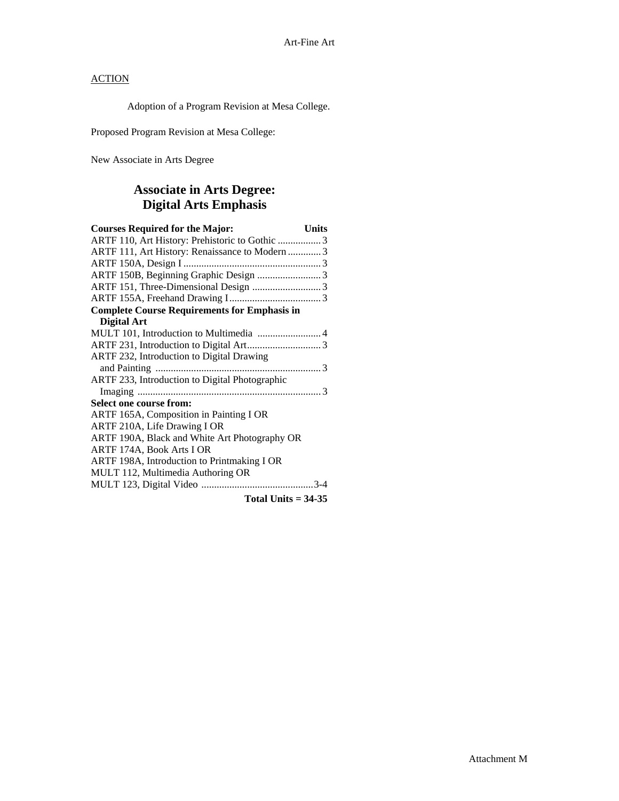Adoption of a Program Revision at Mesa College.

Proposed Program Revision at Mesa College:

New Associate in Arts Degree

## **Associate in Arts Degree: Digital Arts Emphasis**

| <b>Courses Required for the Major:</b><br><b>Units</b> |  |
|--------------------------------------------------------|--|
| ARTF 110, Art History: Prehistoric to Gothic  3        |  |
| ARTF 111, Art History: Renaissance to Modern  3        |  |
|                                                        |  |
|                                                        |  |
|                                                        |  |
|                                                        |  |
| <b>Complete Course Requirements for Emphasis in</b>    |  |
| <b>Digital Art</b>                                     |  |
| MULT 101, Introduction to Multimedia  4                |  |
|                                                        |  |
| ARTF 232, Introduction to Digital Drawing              |  |
|                                                        |  |
| ARTF 233, Introduction to Digital Photographic         |  |
|                                                        |  |
| <b>Select one course from:</b>                         |  |
| ARTF 165A, Composition in Painting I OR                |  |
| ARTF 210A, Life Drawing I OR                           |  |
| ARTF 190A, Black and White Art Photography OR          |  |
| ARTF 174A, Book Arts I OR                              |  |
| ARTF 198A, Introduction to Printmaking I OR            |  |
| MULT 112, Multimedia Authoring OR                      |  |
|                                                        |  |
| Total Units $=$ 34-35                                  |  |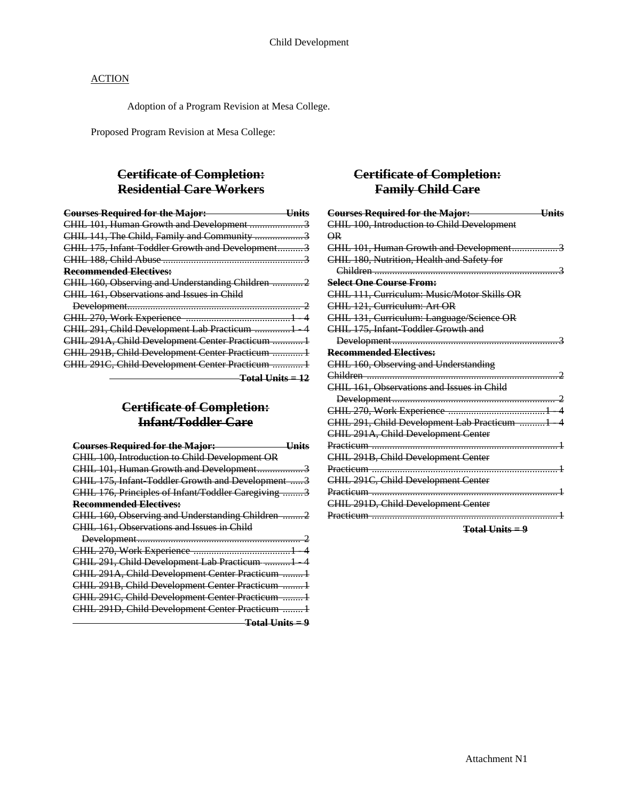Adoption of a Program Revision at Mesa College.

Proposed Program Revision at Mesa College:

## **Certificate of Completion: Residential Care Workers**

| <b>Courses Required for the Major:</b><br><u>Units</u> |  |
|--------------------------------------------------------|--|
|                                                        |  |
|                                                        |  |
| CHIL 175, Infant Toddler Growth and Development3       |  |
|                                                        |  |
| <b>Recommended Electives:</b>                          |  |
|                                                        |  |
| CHIL 161, Observations and Issues in Child             |  |
|                                                        |  |
|                                                        |  |
| CHIL 291, Child Development Lab Practicum 1 4          |  |
| CHIL 291A, Child Development Center Practicum  1       |  |
| CHIL 291B, Child Development Center Practicum  1       |  |
| CHIL 291C, Child Development Center Practicum  1       |  |
| <del>Total Units = 12</del>                            |  |

# **Certificate of Completion: Infant/Toddler Care**

| <b>Courses Required for the Major:</b>               |
|------------------------------------------------------|
| CHIL 100, Introduction to Child Development OR       |
| CHIL 101, Human Growth and Development3              |
| CHIL 175, Infant Toddler Growth and Development 3    |
| CHIL 176, Principles of Infant/Toddler Caregiving  3 |
| <b>Recommended Electives:</b>                        |
| CHIL 160, Observing and Understanding Children  2    |
| CHIL 161, Observations and Issues in Child           |
|                                                      |
|                                                      |
| CHIL 291, Child Development Lab Practicum 1 4        |
| CHIL 291A, Child Development Center Practicum  1     |
| CHIL 291B, Child Development Center Practicum  1     |
| CHIL 291C, Child Development Center Practicum  1     |
| CHIL 291D, Child Development Center Practicum  1     |
| <del>Total Units = 9</del>                           |

## **Certificate of Completion: Family Child Care**

| <b>Courses Required for the Major:</b>      | <b>Units</b> |
|---------------------------------------------|--------------|
| CHIL 100, Introduction to Child Development |              |
| $\overline{AR}$                             |              |
| CHIL 101, Human Growth and Development      | 3            |
| CHIL 180, Nutrition, Health and Safety for  |              |
|                                             |              |
| <b>Select One Course From:</b>              |              |
| CHIL 111, Curriculum: Music/Motor Skills OR |              |
| CHIL 121, Curriculum: Art OR                |              |
| CHIL 131, Curriculum: Language/Science OR   |              |
| CHIL 175, Infant Toddler Growth and         |              |
|                                             |              |
| <b>Recommended Electives:</b>               |              |
| CHIL 160, Observing and Understanding       |              |
|                                             |              |
| CHIL 161, Observations and Issues in Child  |              |
|                                             |              |
|                                             |              |
| CHIL 291, Child Development Lab Practicum 1 |              |
| CHIL 291A, Child Development Center         |              |
|                                             |              |
| CHIL 291B, Child Development Center         |              |
|                                             |              |
| CHIL 291C, Child Development Center         |              |
|                                             |              |
| CHIL 291D, Child Development Center         |              |
|                                             |              |

**Total Units = 9**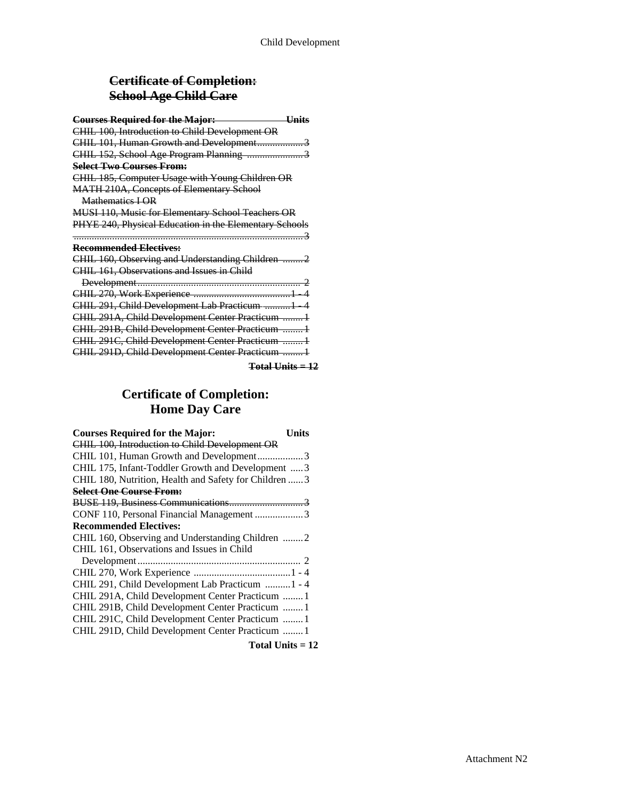# **Certificate of Completion: School Age Child Care**

| <b>Courses Required for the Major:</b><br><b>Units</b> |
|--------------------------------------------------------|
| CHIL 100, Introduction to Child Development OR         |
| CHIL 101, Human Growth and Development3                |
| CHIL 152, School Age Program Planning 3                |
| <b>Select Two Courses From:</b>                        |
| CHIL 185, Computer Usage with Young Children OR        |
| <b>MATH 210A, Concepts of Elementary School</b>        |
| Mathematics <b>I OR</b>                                |
| MUSI 110, Music for Elementary School Teachers OR      |
| PHYE 240, Physical Education in the Elementary Schools |
|                                                        |
| Recommended Electives:                                 |
| CHIL 160, Observing and Understanding Children  2      |
| CHIL 161, Observations and Issues in Child             |
|                                                        |
|                                                        |
| CHIL 291, Child Development Lab Practicum 1 4          |
| CHIL 291A, Child Development Center Practicum  1       |
| CHIL 291B, Child Development Center Practicum  1       |
| CHIL 291C, Child Development Center Practicum  1       |
| CHIL 291D, Child Development Center Practicum 1        |
|                                                        |

**Total Units = 12**

# **Certificate of Completion: Home Day Care**

| <b>Courses Required for the Major:</b>                 | Units |
|--------------------------------------------------------|-------|
| CHIL 100, Introduction to Child Development OR         |       |
| CHIL 101, Human Growth and Development3                |       |
| CHIL 175, Infant-Toddler Growth and Development  3     |       |
| CHIL 180, Nutrition, Health and Safety for Children  3 |       |
| <b>Select One Course From:</b>                         |       |
|                                                        |       |
| CONF 110, Personal Financial Management 3              |       |
| <b>Recommended Electives:</b>                          |       |
| CHIL 160, Observing and Understanding Children 2       |       |
| CHIL 161, Observations and Issues in Child             |       |
|                                                        |       |
|                                                        |       |
| CHIL 291, Child Development Lab Practicum  1 - 4       |       |
| CHIL 291A, Child Development Center Practicum  1       |       |
| CHIL 291B, Child Development Center Practicum  1       |       |
| CHIL 291C, Child Development Center Practicum  1       |       |
| CHIL 291D, Child Development Center Practicum  1       |       |
| Total Units $= 12$                                     |       |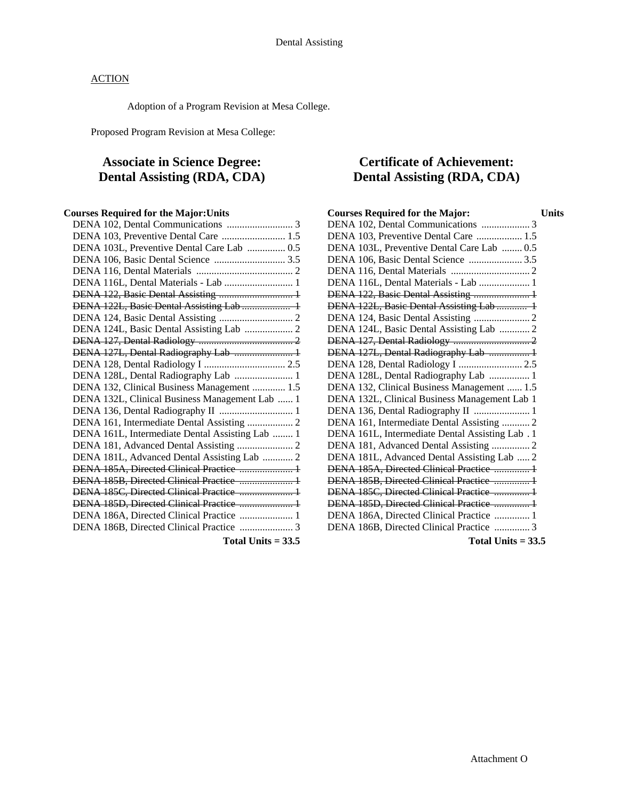Adoption of a Program Revision at Mesa College.

Proposed Program Revision at Mesa College:

# **Associate in Science Degree: Dental Assisting (RDA, CDA)**

### **Courses Required for the Major:Units**

| DENA 103, Preventive Dental Care  1.5           |
|-------------------------------------------------|
| DENA 103L, Preventive Dental Care Lab  0.5      |
| DENA 106, Basic Dental Science  3.5             |
|                                                 |
| DENA 116L, Dental Materials - Lab  1            |
| DENA 122, Basic Dental Assisting  1             |
| DENA 122L, Basic Dental Assisting Lab  1        |
|                                                 |
| DENA 124L, Basic Dental Assisting Lab  2        |
|                                                 |
| DENA 127L, Dental Radiography Lab  1            |
|                                                 |
| DENA 128L, Dental Radiography Lab  1            |
| DENA 132, Clinical Business Management  1.5     |
| DENA 132L, Clinical Business Management Lab  1  |
|                                                 |
| DENA 161, Intermediate Dental Assisting  2      |
| DENA 161L, Intermediate Dental Assisting Lab  1 |
|                                                 |
| DENA 181L, Advanced Dental Assisting Lab  2     |
| DENA 185A, Directed Clinical Practice  1        |
| DENA 185B, Directed Clinical Practice  1        |
| DENA 185C, Directed Clinical Practice  1        |
| DENA 185D, Directed Clinical Practice  1        |
| DENA 186A, Directed Clinical Practice  1        |
| DENA 186B, Directed Clinical Practice  3        |
|                                                 |

**Total Units = 33.5** 

## **Certificate of Achievement: Dental Assisting (RDA, CDA)**

| <b>Courses Required for the Major:</b>          | Units |
|-------------------------------------------------|-------|
| DENA 102, Dental Communications  3              |       |
| DENA 103, Preventive Dental Care  1.5           |       |
| DENA 103L, Preventive Dental Care Lab  0.5      |       |
| DENA 106, Basic Dental Science  3.5             |       |
|                                                 |       |
| DENA 116L, Dental Materials - Lab  1            |       |
| DENA 122, Basic Dental Assisting  1             |       |
| DENA 122L, Basic Dental Assisting Lab  1        |       |
|                                                 |       |
| DENA 124L, Basic Dental Assisting Lab  2        |       |
|                                                 |       |
| DENA 127L, Dental Radiography Lab  1            |       |
| DENA 128, Dental Radiology I  2.5               |       |
| DENA 128L, Dental Radiography Lab  1            |       |
| DENA 132, Clinical Business Management  1.5     |       |
| DENA 132L, Clinical Business Management Lab 1   |       |
|                                                 |       |
| DENA 161, Intermediate Dental Assisting  2      |       |
| DENA 161L, Intermediate Dental Assisting Lab. 1 |       |
| DENA 181, Advanced Dental Assisting  2          |       |
| DENA 181L, Advanced Dental Assisting Lab  2     |       |
| DENA 185A, Directed Clinical Practice  1        |       |
| DENA 185B, Directed Clinical Practice  1        |       |
| DENA 185C, Directed Clinical Practice  1        |       |
| DENA 185D, Directed Clinical Practice  1        |       |
| DENA 186A, Directed Clinical Practice  1        |       |
| DENA 186B, Directed Clinical Practice  3        |       |
|                                                 |       |

**Total Units = 33.5**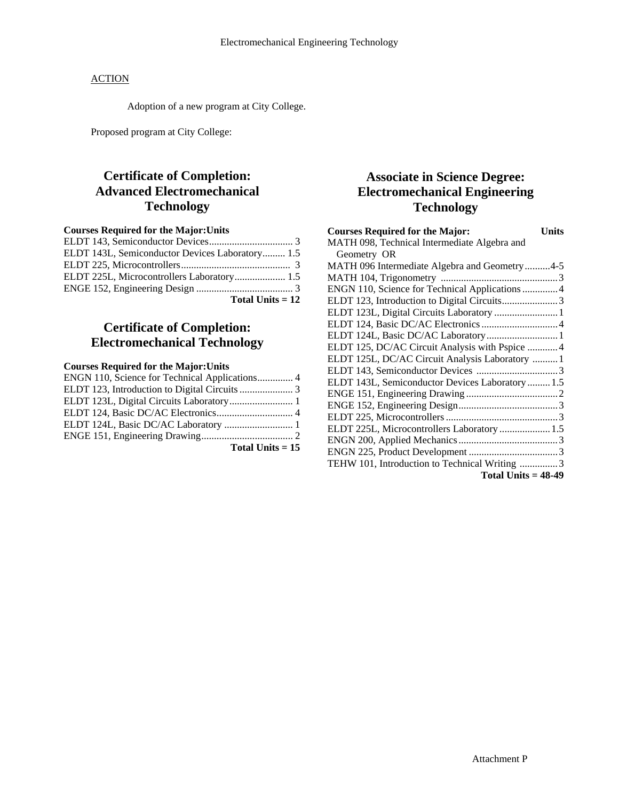Adoption of a new program at City College.

Proposed program at City College:

# **Certificate of Completion: Advanced Electromechanical Technology**

### **Courses Required for the Major:Units**

| Total Units $= 12$                              |  |
|-------------------------------------------------|--|
|                                                 |  |
| ELDT 225L, Microcontrollers Laboratory 1.5      |  |
|                                                 |  |
| ELDT 143L, Semiconductor Devices Laboratory 1.5 |  |
|                                                 |  |

## **Certificate of Completion: Electromechanical Technology**

### **Courses Required for the Major:Units**

| ENGN 110, Science for Technical Applications 4 |                    |
|------------------------------------------------|--------------------|
|                                                |                    |
| ELDT 123L, Digital Circuits Laboratory 1       |                    |
|                                                |                    |
|                                                |                    |
|                                                |                    |
|                                                | Total Units $= 15$ |

## **Associate in Science Degree: Electromechanical Engineering Technology**

| <b>Courses Required for the Major:</b><br><b>Units</b> |
|--------------------------------------------------------|
| MATH 098, Technical Intermediate Algebra and           |
| Geometry OR                                            |
| MATH 096 Intermediate Algebra and Geometry 4-5         |
|                                                        |
| ENGN 110, Science for Technical Applications 4         |
|                                                        |
| ELDT 123L, Digital Circuits Laboratory  1              |
|                                                        |
| ELDT 124L, Basic DC/AC Laboratory 1                    |
| ELDT 125, DC/AC Circuit Analysis with Pspice 4         |
| ELDT 125L, DC/AC Circuit Analysis Laboratory  1        |
|                                                        |
| ELDT 143L, Semiconductor Devices Laboratory  1.5       |
|                                                        |
|                                                        |
|                                                        |
| ELDT 225L, Microcontrollers Laboratory  1.5            |
|                                                        |
|                                                        |
| TEHW 101, Introduction to Technical Writing 3          |
| Total Units $=$ 48-49                                  |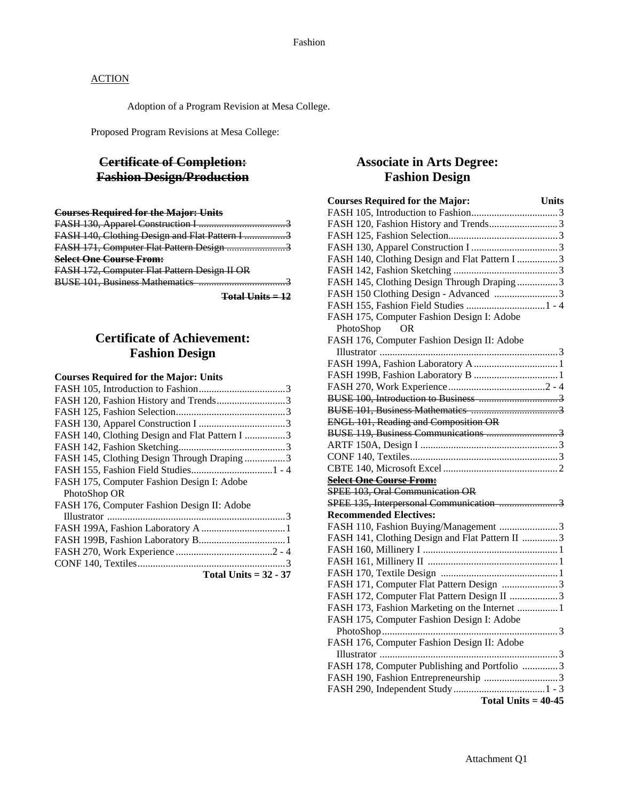Adoption of a Program Revision at Mesa College.

Proposed Program Revisions at Mesa College:

## **Certificate of Completion: Fashion Design/Production**

| <b>Courses Required for the Major: Units</b>   |  |
|------------------------------------------------|--|
|                                                |  |
| FASH 140, Clothing Design and Flat Pattern I 3 |  |
| FASH 171, Computer Flat Pattern Design 3       |  |
| <b>Select One Course From:</b>                 |  |
| FASH 172, Computer Flat Pattern Design II OR   |  |
| <b>BUSE 101, Business Mathematics.</b><br>     |  |
| $Total$ Units $=12$                            |  |

## **Certificate of Achievement: Fashion Design**

#### **Courses Required for the Major: Units**

| FASH 120, Fashion History and Trends3          |
|------------------------------------------------|
|                                                |
|                                                |
| FASH 140, Clothing Design and Flat Pattern I 3 |
|                                                |
| FASH 145, Clothing Design Through Draping 3    |
|                                                |
| FASH 175, Computer Fashion Design I: Adobe     |
| PhotoShop OR                                   |
| FASH 176, Computer Fashion Design II: Adobe    |
|                                                |
|                                                |
|                                                |
|                                                |
|                                                |
| Total Units $= 32 - 37$                        |

## **Associate in Arts Degree: Fashion Design**

| <b>Courses Required for the Major:</b><br><b>Units</b> |
|--------------------------------------------------------|
|                                                        |
| FASH 120, Fashion History and Trends3                  |
|                                                        |
|                                                        |
| FASH 140, Clothing Design and Flat Pattern I 3         |
|                                                        |
| FASH 145, Clothing Design Through Draping 3            |
| FASH 150 Clothing Design - Advanced 3                  |
| FASH 155, Fashion Field Studies  1 - 4                 |
| FASH 175, Computer Fashion Design I: Adobe             |
| <b>OR</b><br>PhotoShop                                 |
| FASH 176, Computer Fashion Design II: Adobe            |
|                                                        |
|                                                        |
|                                                        |
|                                                        |
|                                                        |
|                                                        |
| <b>ENGL 101, Reading and Composition OR</b>            |
|                                                        |
|                                                        |
|                                                        |
|                                                        |
| <b>Select One Course From:</b>                         |
| SPEE 103, Oral Communication OR                        |
|                                                        |
| <b>Recommended Electives:</b>                          |
| FASH 110, Fashion Buying/Management 3                  |
| FASH 141, Clothing Design and Flat Pattern II 3        |
|                                                        |
|                                                        |
|                                                        |
| FASH 171, Computer Flat Pattern Design 3               |
| FASH 172, Computer Flat Pattern Design II 3            |
| FASH 173, Fashion Marketing on the Internet  1         |
| FASH 175, Computer Fashion Design I: Adobe             |
|                                                        |
| FASH 176, Computer Fashion Design II: Adobe            |
|                                                        |
| FASH 178, Computer Publishing and Portfolio 3          |
| FASH 190, Fashion Entrepreneurship 3                   |
|                                                        |
| Total Units = $40-45$                                  |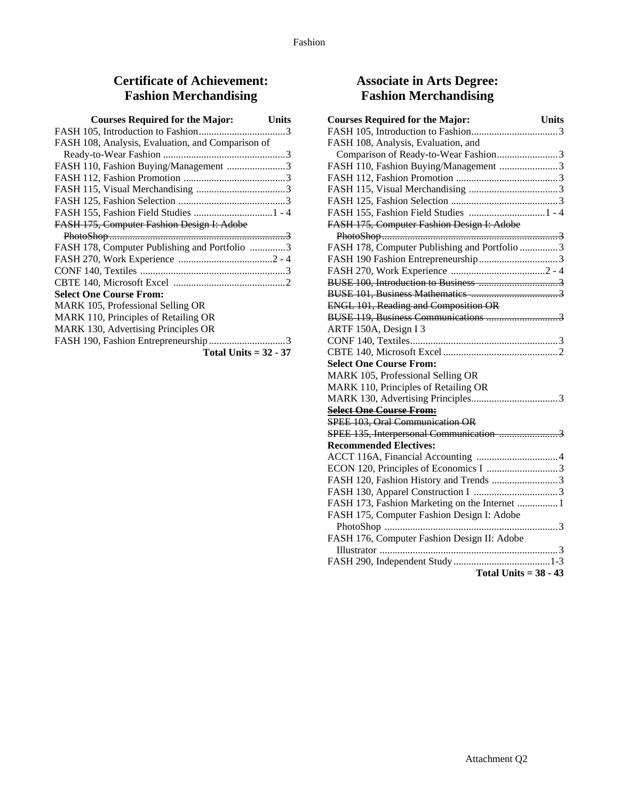# **Certificate of Achievement: Fashion Merchandising**

| <b>Courses Required for the Major:</b><br>Units   |  |
|---------------------------------------------------|--|
|                                                   |  |
| FASH 108, Analysis, Evaluation, and Comparison of |  |
|                                                   |  |
| FASH 110, Fashion Buying/Management 3             |  |
|                                                   |  |
|                                                   |  |
|                                                   |  |
|                                                   |  |
| FASH 175, Computer Fashion Design I: Adobe        |  |
|                                                   |  |
| FASH 178, Computer Publishing and Portfolio 3     |  |
|                                                   |  |
|                                                   |  |
|                                                   |  |
| <b>Select One Course From:</b>                    |  |
| MARK 105, Professional Selling OR                 |  |
| MARK 110, Principles of Retailing OR              |  |
| MARK 130, Advertising Principles OR               |  |
|                                                   |  |
| Total Units $= 32 - 37$                           |  |

# **Associate in Arts Degree: Fashion Merchandising**

| <b>Courses Required for the Major:</b><br><b>Units</b>                      |
|-----------------------------------------------------------------------------|
|                                                                             |
| FASH 108, Analysis, Evaluation, and                                         |
|                                                                             |
| FASH 110, Fashion Buying/Management 3                                       |
|                                                                             |
|                                                                             |
|                                                                             |
| FASH 155, Fashion Field Studies  1 - 4                                      |
| FASH 175, Computer Fashion Design I: Adobe                                  |
|                                                                             |
| FASH 178, Computer Publishing and Portfolio 3                               |
|                                                                             |
|                                                                             |
|                                                                             |
|                                                                             |
| <b>ENGL 101, Reading and Composition OR</b>                                 |
| ENGL 101, Reading and Composition OR<br>BUSE 119, Business Communications 3 |
| ARTF 150A, Design I 3                                                       |
|                                                                             |
|                                                                             |
| <b>Select One Course From:</b>                                              |
| MARK 105, Professional Selling OR                                           |
| MARK 110, Principles of Retailing OR                                        |
|                                                                             |
| <b>Select One Course From:</b>                                              |
| SPEE 103, Oral Communication OR                                             |
| SPEE 135, Interpersonal Communication 3                                     |
| <b>Recommended Electives:</b>                                               |
|                                                                             |
|                                                                             |
| FASH 120, Fashion History and Trends 3                                      |
|                                                                             |
| FASH 173, Fashion Marketing on the Internet  1                              |
| FASH 175, Computer Fashion Design I: Adobe                                  |
|                                                                             |
| FASH 176, Computer Fashion Design II: Adobe                                 |
|                                                                             |
|                                                                             |
| Total Units = $38 - 43$                                                     |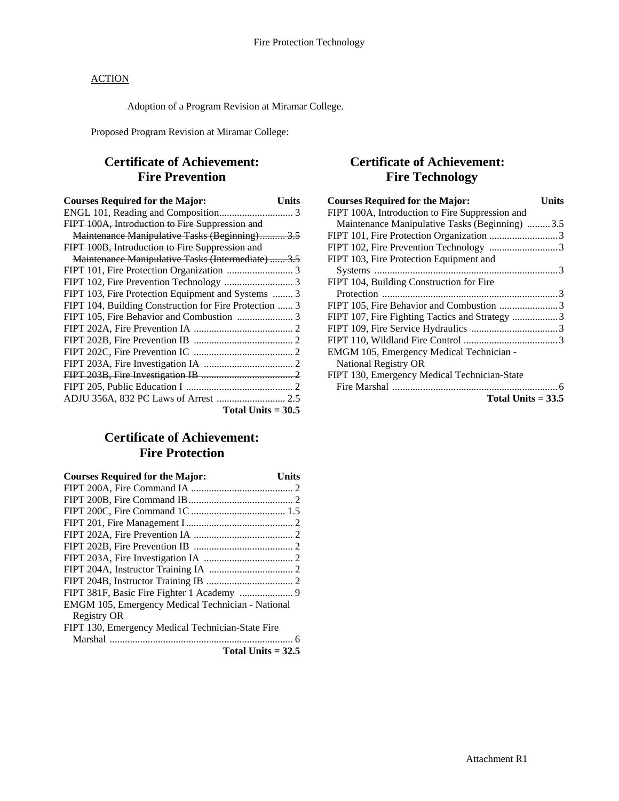Adoption of a Program Revision at Miramar College.

Proposed Program Revision at Miramar College:

# **Certificate of Achievement: Fire Prevention**

| <b>Courses Required for the Major:</b>                 | Units |
|--------------------------------------------------------|-------|
|                                                        |       |
| FIPT 100A, Introduction to Fire Suppression and        |       |
| Maintenance Manipulative Tasks (Beginning) 3.5         |       |
| FIPT 100B, Introduction to Fire Suppression and        |       |
| Maintenance Manipulative Tasks (Intermediate)  3.5     |       |
|                                                        |       |
|                                                        |       |
| FIPT 103, Fire Protection Equipment and Systems  3     |       |
| FIPT 104, Building Construction for Fire Protection  3 |       |
|                                                        |       |
|                                                        |       |
|                                                        |       |
|                                                        |       |
|                                                        |       |
|                                                        |       |
|                                                        |       |
| ADJU 356A, 832 PC Laws of Arrest  2.5                  |       |
| Total Units $= 30.5$                                   |       |

# **Certificate of Achievement: Fire Protection**

| <b>Courses Required for the Major:</b>            | Units |
|---------------------------------------------------|-------|
|                                                   |       |
|                                                   |       |
|                                                   |       |
|                                                   |       |
|                                                   |       |
|                                                   |       |
|                                                   |       |
|                                                   |       |
|                                                   |       |
|                                                   |       |
| EMGM 105, Emergency Medical Technician - National |       |
| <b>Registry OR</b>                                |       |
| FIPT 130, Emergency Medical Technician-State Fire |       |
|                                                   |       |
| Total Units $= 32.5$                              |       |

## **Certificate of Achievement: Fire Technology**

| <b>Courses Required for the Major:</b>          | Units |
|-------------------------------------------------|-------|
| FIPT 100A, Introduction to Fire Suppression and |       |
| Maintenance Manipulative Tasks (Beginning) 3.5  |       |
|                                                 |       |
|                                                 |       |
| FIPT 103, Fire Protection Equipment and         |       |
|                                                 |       |
| FIPT 104, Building Construction for Fire        |       |
|                                                 |       |
|                                                 |       |
| FIPT 107, Fire Fighting Tactics and Strategy 3  |       |
|                                                 |       |
|                                                 |       |
| EMGM 105, Emergency Medical Technician -        |       |
| <b>National Registry OR</b>                     |       |
| FIPT 130, Emergency Medical Technician-State    |       |
|                                                 |       |
| Total Units $= 33.5$                            |       |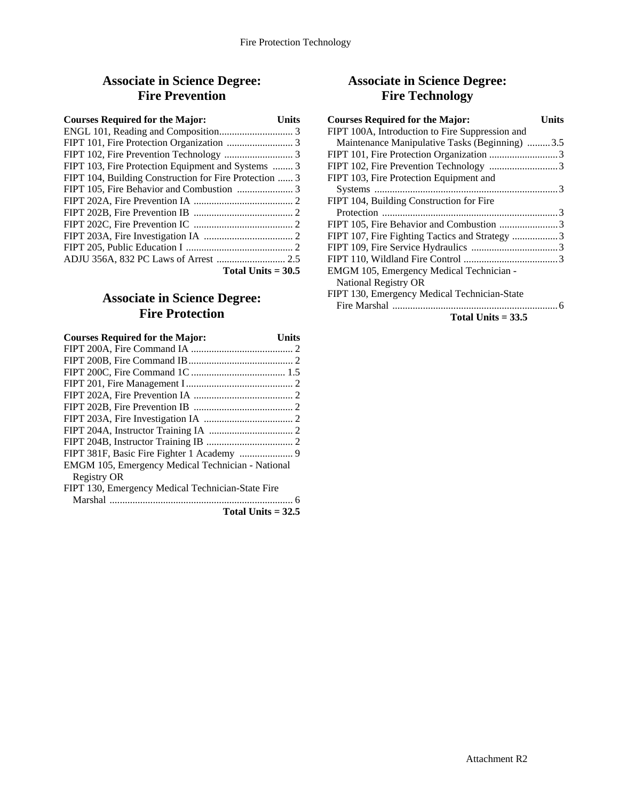## **Associate in Science Degree: Fire Prevention**

| <b>Courses Required for the Major:</b>                 | Units |
|--------------------------------------------------------|-------|
|                                                        |       |
|                                                        |       |
|                                                        |       |
| FIPT 103, Fire Protection Equipment and Systems  3     |       |
| FIPT 104, Building Construction for Fire Protection  3 |       |
|                                                        |       |
|                                                        |       |
|                                                        |       |
|                                                        |       |
|                                                        |       |
|                                                        |       |
|                                                        |       |
| Total Units $=$ 30.5                                   |       |

## **Associate in Science Degree: Fire Protection**

| <b>Courses Required for the Major:</b><br>Units   |  |
|---------------------------------------------------|--|
|                                                   |  |
|                                                   |  |
|                                                   |  |
|                                                   |  |
|                                                   |  |
|                                                   |  |
|                                                   |  |
|                                                   |  |
|                                                   |  |
|                                                   |  |
| EMGM 105, Emergency Medical Technician - National |  |
| <b>Registry OR</b>                                |  |
| FIPT 130, Emergency Medical Technician-State Fire |  |
|                                                   |  |
| Total Units $= 32.5$                              |  |

# **Associate in Science Degree: Fire Technology**

| <b>Courses Required for the Major:</b>          | Units |
|-------------------------------------------------|-------|
| FIPT 100A, Introduction to Fire Suppression and |       |
| Maintenance Manipulative Tasks (Beginning) 3.5  |       |
|                                                 |       |
|                                                 |       |
| FIPT 103, Fire Protection Equipment and         |       |
|                                                 |       |
| FIPT 104, Building Construction for Fire        |       |
|                                                 |       |
|                                                 |       |
| FIPT 107, Fire Fighting Tactics and Strategy 3  |       |
|                                                 |       |
|                                                 |       |
| EMGM 105, Emergency Medical Technician -        |       |
| <b>National Registry OR</b>                     |       |
| FIPT 130, Emergency Medical Technician-State    |       |
|                                                 |       |

```
Total Units = 33.5
```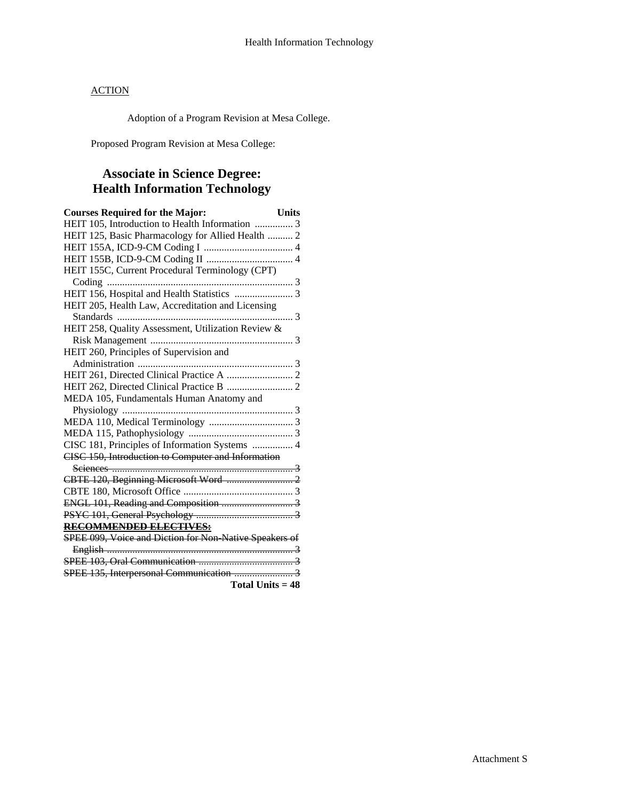Adoption of a Program Revision at Mesa College.

Proposed Program Revision at Mesa College:

# **Associate in Science Degree: Health Information Technology**

| <b>Courses Required for the Major:</b>                 | <b>Units</b> |
|--------------------------------------------------------|--------------|
| HEIT 105, Introduction to Health Information  3        |              |
| HEIT 125, Basic Pharmacology for Allied Health  2      |              |
|                                                        |              |
|                                                        |              |
| HEIT 155C, Current Procedural Terminology (CPT)        |              |
|                                                        |              |
|                                                        |              |
| HEIT 205, Health Law, Accreditation and Licensing      |              |
|                                                        | . 3          |
| HEIT 258, Quality Assessment, Utilization Review &     |              |
|                                                        |              |
| HEIT 260, Principles of Supervision and                |              |
|                                                        |              |
|                                                        |              |
|                                                        |              |
| MEDA 105, Fundamentals Human Anatomy and               |              |
|                                                        |              |
|                                                        |              |
|                                                        |              |
| CISC 181, Principles of Information Systems  4         |              |
| CISC 150, Introduction to Computer and Information     |              |
|                                                        |              |
|                                                        |              |
|                                                        |              |
|                                                        |              |
|                                                        |              |
| RECOMMENDED ELECTIVES:                                 |              |
| SPEE 099, Voice and Diction for Non-Native Speakers of |              |
|                                                        |              |
|                                                        |              |
|                                                        |              |
| <b>Total Units = 48</b>                                |              |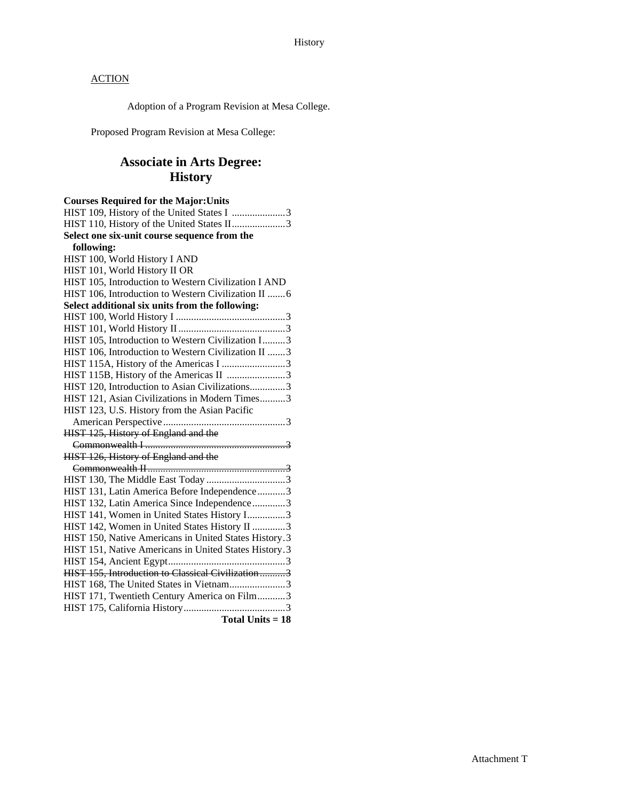Adoption of a Program Revision at Mesa College.

Proposed Program Revision at Mesa College:

# **Associate in Arts Degree: History**

| <b>Courses Required for the Major: Units</b>          |
|-------------------------------------------------------|
| HIST 109, History of the United States I 3            |
| HIST 110, History of the United States II3            |
| Select one six-unit course sequence from the          |
| following:                                            |
| HIST 100, World History I AND                         |
| HIST 101, World History II OR                         |
| HIST 105, Introduction to Western Civilization I AND  |
| HIST 106, Introduction to Western Civilization II  6  |
| Select additional six units from the following:       |
|                                                       |
|                                                       |
| HIST 105, Introduction to Western Civilization I3     |
| HIST 106, Introduction to Western Civilization II 3   |
| HIST 115A, History of the Americas I 3                |
| HIST 115B, History of the Americas II 3               |
| HIST 120, Introduction to Asian Civilizations3        |
| HIST 121, Asian Civilizations in Modern Times3        |
| HIST 123, U.S. History from the Asian Pacific         |
|                                                       |
| HIST 125, History of England and the                  |
|                                                       |
| HIST 126, History of England and the                  |
|                                                       |
|                                                       |
| HIST 131, Latin America Before Independence3          |
| HIST 132, Latin America Since Independence3           |
| HIST 141, Women in United States History I3           |
| HIST 142, Women in United States History II 3         |
| HIST 150, Native Americans in United States History.3 |
| HIST 151, Native Americans in United States History.3 |
|                                                       |
| HIST 155, Introduction to Classical Civilization3     |
| HIST 168, The United States in Vietnam3               |
| HIST 171, Twentieth Century America on Film3          |
|                                                       |
| Total Units = 18                                      |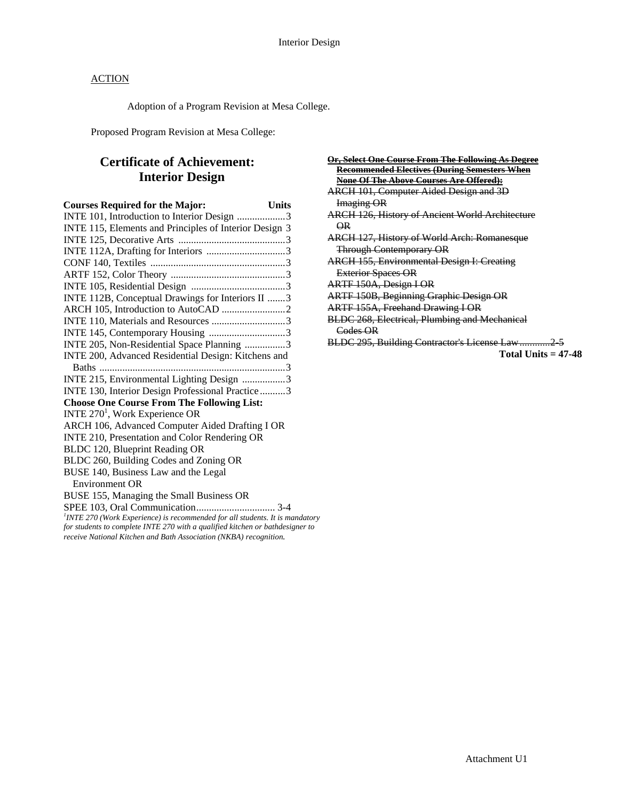Adoption of a Program Revision at Mesa College.

Proposed Program Revision at Mesa College:

# **Certificate of Achievement: Interior Design**

| <b>Courses Required for the Major:</b>                                          | <b>Units</b> |
|---------------------------------------------------------------------------------|--------------|
| INTE 101, Introduction to Interior Design 3                                     |              |
| INTE 115, Elements and Principles of Interior Design 3                          |              |
|                                                                                 |              |
|                                                                                 |              |
|                                                                                 |              |
|                                                                                 |              |
|                                                                                 |              |
| INTE 112B, Conceptual Drawings for Interiors II 3                               |              |
|                                                                                 |              |
|                                                                                 |              |
|                                                                                 |              |
| INTE 205, Non-Residential Space Planning 3                                      |              |
| INTE 200, Advanced Residential Design: Kitchens and                             |              |
|                                                                                 |              |
| INTE 215, Environmental Lighting Design 3                                       |              |
| INTE 130, Interior Design Professional Practice 3                               |              |
| <b>Choose One Course From The Following List:</b>                               |              |
| INTE $2701$ , Work Experience OR                                                |              |
| ARCH 106, Advanced Computer Aided Drafting I OR                                 |              |
| INTE 210, Presentation and Color Rendering OR                                   |              |
| BLDC 120, Blueprint Reading OR                                                  |              |
| BLDC 260, Building Codes and Zoning OR                                          |              |
| BUSE 140, Business Law and the Legal                                            |              |
| <b>Environment OR</b>                                                           |              |
| BUSE 155, Managing the Small Business OR                                        |              |
|                                                                                 |              |
| $1$ INTE 270 (Work Experience) is recommended for all students. It is mandatory |              |
| for students to complete INTE 270 with a qualified kitchen or bathdesigner to   |              |
| receive National Kitchen and Bath Association (NKBA) recognition.               |              |

| Or, Select One Course From The Following As Degree     |
|--------------------------------------------------------|
| Recommended Electives (During Semesters When           |
| None Of The Above Courses Are Offered):                |
| <b>ARCH 101, Computer Aided Design and 3D</b>          |
| <b>Imaging OR</b>                                      |
| <b>ARCH 126, History of Ancient World Architecture</b> |
| $\overline{\mathsf{R}}$                                |
| <b>ARCH 127, History of World Arch: Romanesque</b>     |
| <b>Through Contemporary OR</b>                         |
| <b>ARCH 155, Environmental Design I: Creating</b>      |
| <b>Exterior Spaces OR</b>                              |
| ARTF 150A, Design I OR                                 |
| <b>ARTF 150B, Beginning Graphic Design OR</b>          |
| <b>ARTF 155A, Freehand Drawing I OR</b>                |
| <b>BLDC 268, Electrical, Plumbing and Mechanical</b>   |
| Codes OR                                               |
| BLDC 295, Building Contractor's License Law2-5         |
| Total Units $=$ 47-48                                  |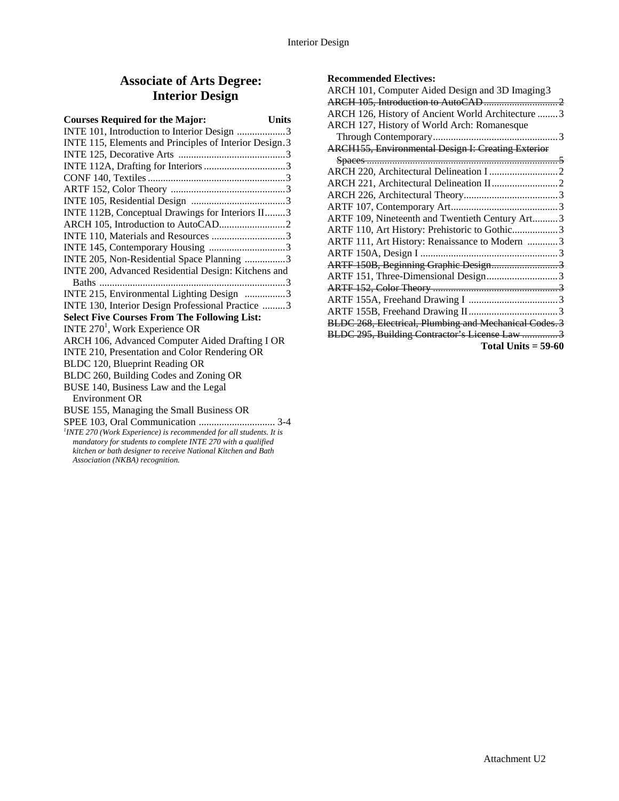### **Associate of Arts Degree: Interior Design**

| <b>Courses Required for the Major:</b>                                         | <b>Units</b> |
|--------------------------------------------------------------------------------|--------------|
| INTE 101, Introduction to Interior Design 3                                    |              |
| INTE 115, Elements and Principles of Interior Design.3                         |              |
|                                                                                |              |
|                                                                                |              |
|                                                                                |              |
|                                                                                |              |
|                                                                                |              |
| INTE 112B, Conceptual Drawings for Interiors II3                               |              |
|                                                                                |              |
|                                                                                |              |
|                                                                                |              |
| INTE 205, Non-Residential Space Planning 3                                     |              |
| INTE 200, Advanced Residential Design: Kitchens and                            |              |
|                                                                                |              |
| INTE 215, Environmental Lighting Design 3                                      |              |
| INTE 130, Interior Design Professional Practice 3                              |              |
| <b>Select Five Courses From The Following List:</b>                            |              |
| INTE 270 <sup>1</sup> , Work Experience OR                                     |              |
| ARCH 106, Advanced Computer Aided Drafting I OR                                |              |
| INTE 210, Presentation and Color Rendering OR                                  |              |
| BLDC 120, Blueprint Reading OR                                                 |              |
| BLDC 260, Building Codes and Zoning OR                                         |              |
| BUSE 140, Business Law and the Legal                                           |              |
| Environment OR                                                                 |              |
| BUSE 155, Managing the Small Business OR                                       |              |
|                                                                                |              |
| <sup>1</sup> INTE 270 (Work Experience) is recommended for all students. It is |              |
| mandatory for students to complete INTE 270 with a qualified                   |              |

*kitchen or bath designer to receive National Kitchen and Bath Association (NKBA) recognition.* 

#### **Recommended Electives:**

| ARCH 101, Computer Aided Design and 3D Imaging 3          |  |
|-----------------------------------------------------------|--|
|                                                           |  |
| ARCH 126, History of Ancient World Architecture  3        |  |
| ARCH 127, History of World Arch: Romanesque               |  |
|                                                           |  |
| <b>ARCH155, Environmental Design I: Creating Exterior</b> |  |
|                                                           |  |
|                                                           |  |
|                                                           |  |
|                                                           |  |
|                                                           |  |
| ARTF 109, Nineteenth and Twentieth Century Art3           |  |
| ARTF 110, Art History: Prehistoric to Gothic3             |  |
| ARTF 111, Art History: Renaissance to Modern 3            |  |
|                                                           |  |
| ARTF 150B, Beginning Graphic Design3                      |  |
| ARTF 151, Three-Dimensional Design3                       |  |
|                                                           |  |
|                                                           |  |
|                                                           |  |
| BLDC 268, Electrical, Plumbing and Mechanical Codes. 3    |  |
| BLDC 295, Building Contractor's License Law 3             |  |
| Total Units $= 59-60$                                     |  |
|                                                           |  |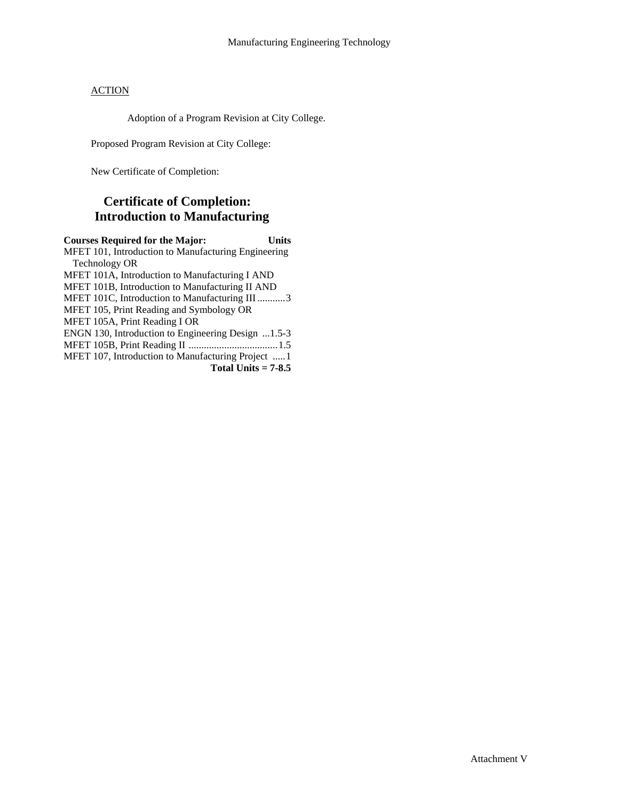Adoption of a Program Revision at City College.

Proposed Program Revision at City College:

New Certificate of Completion:

# **Certificate of Completion: Introduction to Manufacturing**

**Courses Required for the Major: Units**  MFET 101, Introduction to Manufacturing Engineering Technology OR MFET 101A, Introduction to Manufacturing I AND MFET 101B, Introduction to Manufacturing II AND MFET 101C, Introduction to Manufacturing III ...........3 MFET 105, Print Reading and Symbology OR MFET 105A, Print Reading I OR ENGN 130, Introduction to Engineering Design ...1.5-3 MFET 105B, Print Reading II ...................................1.5 MFET 107, Introduction to Manufacturing Project .....1 **Total Units = 7-8.5**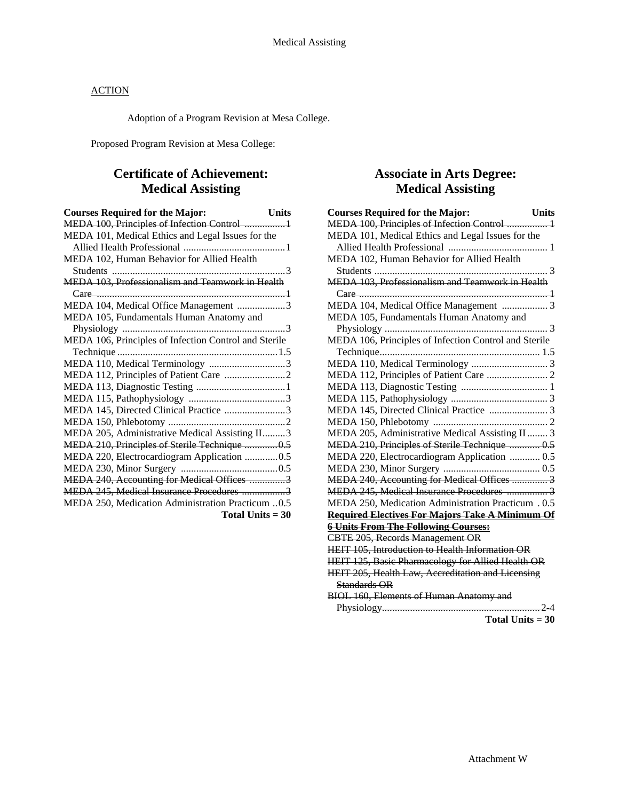Adoption of a Program Revision at Mesa College.

Proposed Program Revision at Mesa College:

## **Certificate of Achievement: Medical Assisting**

| <b>Courses Required for the Major:</b><br><b>Units</b> |  |
|--------------------------------------------------------|--|
| MEDA 100, Principles of Infection Control  1           |  |
| MEDA 101, Medical Ethics and Legal Issues for the      |  |
|                                                        |  |
| MEDA 102, Human Behavior for Allied Health             |  |
|                                                        |  |
| MEDA 103, Professionalism and Teamwork in Health       |  |
|                                                        |  |
| MEDA 104, Medical Office Management 3                  |  |
| MEDA 105, Fundamentals Human Anatomy and               |  |
|                                                        |  |
| MEDA 106, Principles of Infection Control and Sterile  |  |
|                                                        |  |
| MEDA 110, Medical Terminology 3                        |  |
|                                                        |  |
|                                                        |  |
|                                                        |  |
| MEDA 145, Directed Clinical Practice 3                 |  |
|                                                        |  |
| MEDA 205, Administrative Medical Assisting II3         |  |
| MEDA 210, Principles of Sterile Technique 0.5          |  |
| MEDA 220, Electrocardiogram Application 0.5            |  |
|                                                        |  |
| MEDA 240, Accounting for Medical Offices 3             |  |
| MEDA 245, Medical Insurance Procedures 3               |  |
| MEDA 250, Medication Administration Practicum 0.5      |  |
| Total Units $=$ 30                                     |  |

### **Associate in Arts Degree: Medical Assisting**

| <b>Units</b><br><b>Courses Required for the Major:</b>   |
|----------------------------------------------------------|
| MEDA 100, Principles of Infection Control  1             |
| MEDA 101, Medical Ethics and Legal Issues for the        |
|                                                          |
| MEDA 102, Human Behavior for Allied Health               |
|                                                          |
| MEDA 103, Professionalism and Teamwork in Health         |
|                                                          |
| MEDA 104, Medical Office Management  3                   |
| MEDA 105, Fundamentals Human Anatomy and                 |
|                                                          |
| MEDA 106, Principles of Infection Control and Sterile    |
|                                                          |
|                                                          |
|                                                          |
|                                                          |
|                                                          |
| MEDA 145, Directed Clinical Practice  3                  |
|                                                          |
| MEDA 205, Administrative Medical Assisting II  3         |
| MEDA 210, Principles of Sterile Technique  0.5           |
| MEDA 220, Electrocardiogram Application  0.5             |
|                                                          |
| MEDA 240, Accounting for Medical Offices  3              |
| MEDA 245, Medical Insurance Procedures  3                |
| MEDA 250, Medication Administration Practicum . 0.5      |
| <b>Required Electives For Majors Take A Minimum Of</b>   |
| <b>6 Units From The Following Courses:</b>               |
| <b>CBTE 205, Records Management OR</b>                   |
| HEIT 105, Introduction to Health Information OR          |
| HEIT 125, Basic Pharmacology for Allied Health OR        |
| <b>HEIT 205, Health Law, Accreditation and Licensing</b> |
| Standards OR                                             |
| <b>BIOL 160, Elements of Human Anatomy and</b>           |
|                                                          |

**Total Units = 30**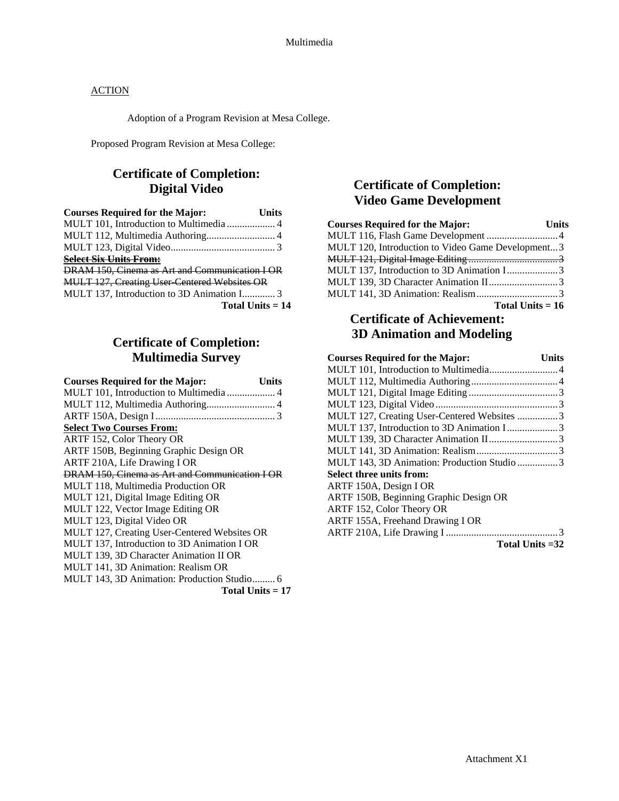Adoption of a Program Revision at Mesa College.

Proposed Program Revision at Mesa College:

# **Certificate of Completion: Digital Video**

| <b>Courses Required for the Major:</b>              | <b>Units</b>       |
|-----------------------------------------------------|--------------------|
| MULT 101, Introduction to Multimedia  4             |                    |
| MULT 112, Multimedia Authoring 4                    |                    |
|                                                     |                    |
| <b>Select Six Units From:</b>                       |                    |
| DRAM 150, Cinema as Art and Communication I OR      |                    |
| <b>MULT 127, Creating User Centered Websites OR</b> |                    |
| MULT 137, Introduction to 3D Animation I 3          |                    |
|                                                     | Total Units $= 14$ |

# **Certificate of Completion: Multimedia Survey**

| <b>Courses Required for the Major:</b>         | Units              |
|------------------------------------------------|--------------------|
|                                                |                    |
| MULT 112, Multimedia Authoring 4               |                    |
|                                                |                    |
| <b>Select Two Courses From:</b>                |                    |
| ARTF 152, Color Theory OR                      |                    |
| ARTF 150B, Beginning Graphic Design OR         |                    |
| ARTF 210A, Life Drawing I OR                   |                    |
| DRAM 150, Cinema as Art and Communication I OR |                    |
| MULT 118, Multimedia Production OR             |                    |
| MULT 121, Digital Image Editing OR             |                    |
| MULT 122, Vector Image Editing OR              |                    |
| MULT 123, Digital Video OR                     |                    |
| MULT 127, Creating User-Centered Websites OR   |                    |
| MULT 137, Introduction to 3D Animation I OR    |                    |
| MULT 139, 3D Character Animation II OR         |                    |
| MULT 141, 3D Animation: Realism OR             |                    |
| MULT 143, 3D Animation: Production Studio 6    |                    |
|                                                | Total Units $= 17$ |

# **Certificate of Completion: Video Game Development**

| <b>Courses Required for the Major:</b>            | <b>Units</b> |
|---------------------------------------------------|--------------|
| MULT 116, Flash Game Development  4               |              |
| MULT 120, Introduction to Video Game Development3 |              |
|                                                   |              |
| MULT 137, Introduction to 3D Animation I3         |              |
| MULT 139, 3D Character Animation II3              |              |
|                                                   |              |
| Total Units $= 16$                                |              |

# **Certificate of Achievement: 3D Animation and Modeling**

| <b>Courses Required for the Major:</b>      | Units |
|---------------------------------------------|-------|
|                                             |       |
|                                             |       |
|                                             |       |
|                                             |       |
| MULT 127, Creating User-Centered Websites 3 |       |
| MULT 137, Introduction to 3D Animation I3   |       |
|                                             |       |
|                                             |       |
| MULT 143, 3D Animation: Production Studio 3 |       |
| <b>Select three units from:</b>             |       |
| ARTF 150A, Design I OR                      |       |
| ARTF 150B, Beginning Graphic Design OR      |       |
| ARTF 152, Color Theory OR                   |       |
| ARTF 155A, Freehand Drawing I OR            |       |
|                                             |       |
| Total Units = 32                            |       |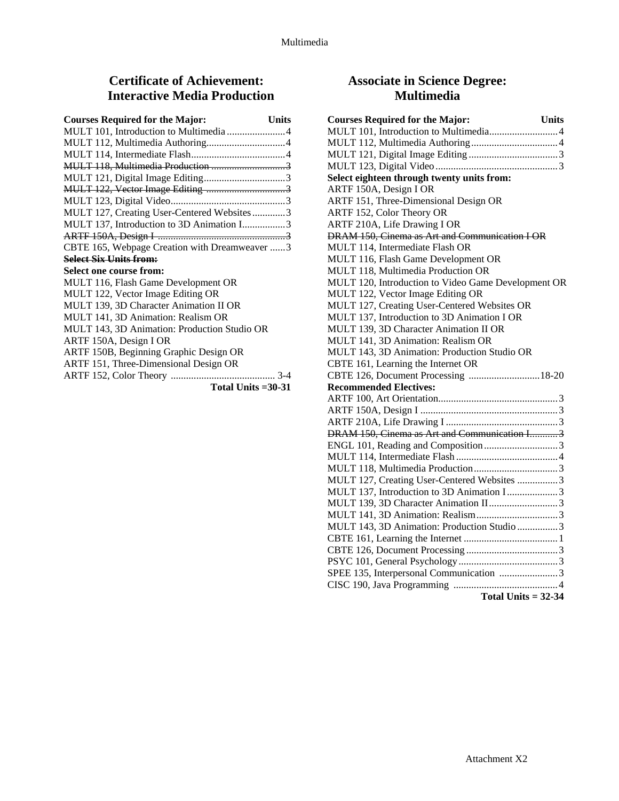# **Certificate of Achievement: Interactive Media Production**

| <b>Courses Required for the Major:</b>        | <b>Units</b> |
|-----------------------------------------------|--------------|
| MULT 101, Introduction to Multimedia 4        |              |
|                                               |              |
|                                               |              |
| MULT 118, Multimedia Production 3             |              |
|                                               |              |
|                                               |              |
|                                               |              |
| MULT 127, Creating User-Centered Websites3    |              |
| MULT 137, Introduction to 3D Animation I3     |              |
|                                               |              |
| CBTE 165, Webpage Creation with Dreamweaver 3 |              |
| <b>Select Six Units from:</b>                 |              |
| Select one course from:                       |              |
| MULT 116, Flash Game Development OR           |              |
| MULT 122, Vector Image Editing OR             |              |
| MULT 139, 3D Character Animation II OR        |              |
| MULT 141, 3D Animation: Realism OR            |              |
| MULT 143, 3D Animation: Production Studio OR  |              |
| ARTF 150A, Design I OR                        |              |
| ARTF 150B, Beginning Graphic Design OR        |              |
| ARTF 151, Three-Dimensional Design OR         |              |
|                                               |              |
| Total Units $=30-31$                          |              |

# **Associate in Science Degree: Multimedia**

| <b>Courses Required for the Major:</b><br><b>Units</b> |
|--------------------------------------------------------|
|                                                        |
|                                                        |
|                                                        |
|                                                        |
| Select eighteen through twenty units from:             |
| ARTF 150A, Design I OR                                 |
| ARTF 151, Three-Dimensional Design OR                  |
| ARTF 152, Color Theory OR                              |
| ARTF 210A, Life Drawing I OR                           |
| DRAM 150, Cinema as Art and Communication I OR         |
| MULT 114, Intermediate Flash OR                        |
| MULT 116, Flash Game Development OR                    |
| MULT 118, Multimedia Production OR                     |
| MULT 120, Introduction to Video Game Development OR    |
| MULT 122, Vector Image Editing OR                      |
| MULT 127, Creating User-Centered Websites OR           |
| MULT 137, Introduction to 3D Animation I OR            |
| MULT 139, 3D Character Animation II OR                 |
| MULT 141, 3D Animation: Realism OR                     |
| MULT 143, 3D Animation: Production Studio OR           |
| CBTE 161, Learning the Internet OR                     |
| CBTE 126, Document Processing 18-20                    |
| <b>Recommended Electives:</b>                          |
|                                                        |
|                                                        |
|                                                        |
| DRAM 150, Cinema as Art and Communication I 3          |
|                                                        |
|                                                        |
|                                                        |
| MULT 127, Creating User-Centered Websites 3            |
| MULT 137, Introduction to 3D Animation I3              |
| MULT 139, 3D Character Animation II3                   |
|                                                        |
| MULT 143, 3D Animation: Production Studio 3            |
|                                                        |
|                                                        |
|                                                        |
| SPEE 135, Interpersonal Communication 3                |
|                                                        |
| Total Units = $32-34$                                  |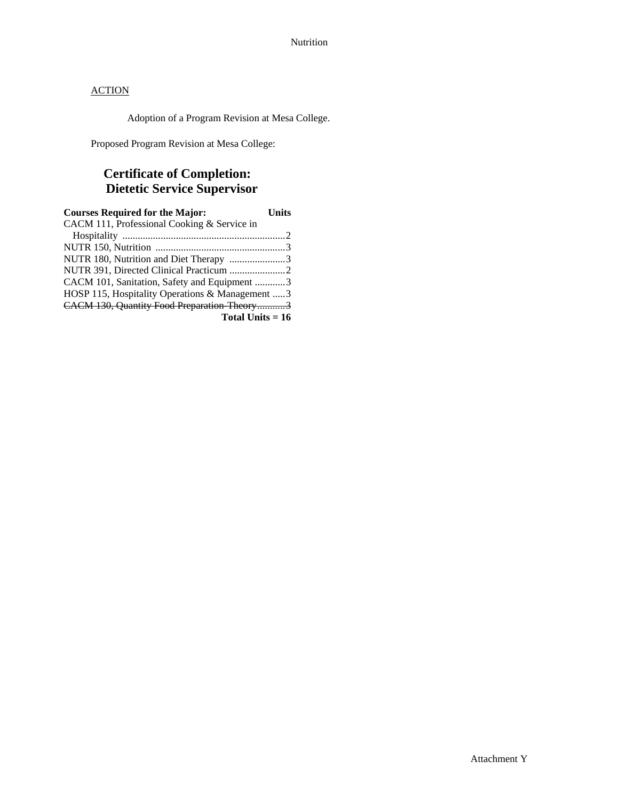Adoption of a Program Revision at Mesa College.

Proposed Program Revision at Mesa College:

# **Certificate of Completion: Dietetic Service Supervisor**

| <b>Courses Required for the Major:</b>          | Units |
|-------------------------------------------------|-------|
| CACM 111, Professional Cooking & Service in     |       |
|                                                 |       |
|                                                 |       |
| NUTR 180, Nutrition and Diet Therapy 3          |       |
|                                                 |       |
| CACM 101, Sanitation, Safety and Equipment 3    |       |
| HOSP 115, Hospitality Operations & Management 3 |       |
| CACM 130, Quantity Food Preparation Theory3     |       |
| Total Units $= 16$                              |       |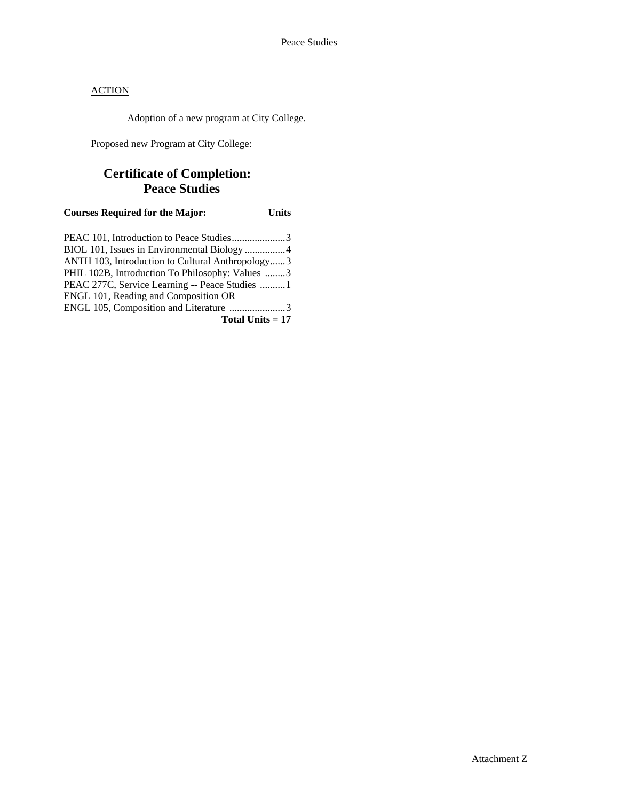Adoption of a new program at City College.

Proposed new Program at City College:

# **Certificate of Completion: Peace Studies**

**Courses Required for the Major: Units** 

| PEAC 101, Introduction to Peace Studies3         |  |
|--------------------------------------------------|--|
|                                                  |  |
| ANTH 103, Introduction to Cultural Anthropology3 |  |
| PHIL 102B, Introduction To Philosophy: Values 3  |  |
| PEAC 277C, Service Learning -- Peace Studies 1   |  |
| ENGL 101, Reading and Composition OR             |  |
| ENGL 105, Composition and Literature 3           |  |
| Total Units $= 17$                               |  |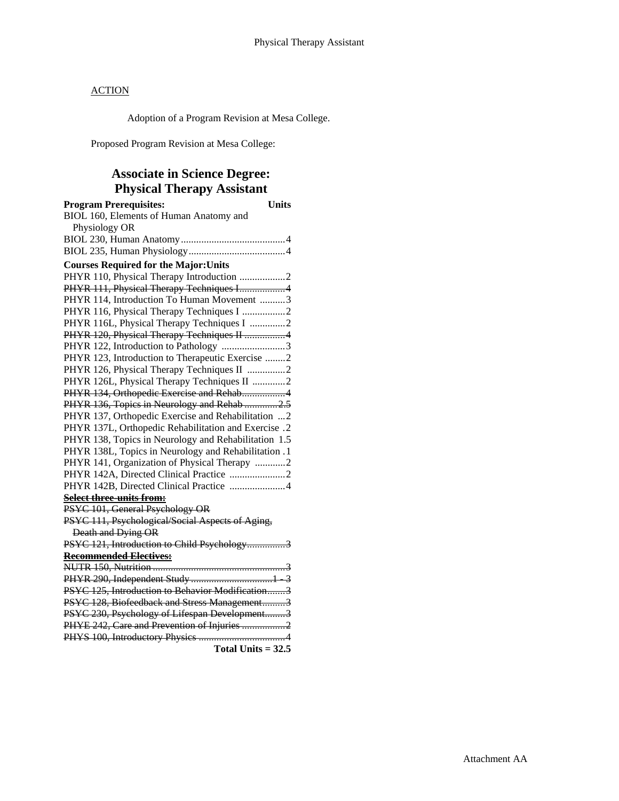Adoption of a Program Revision at Mesa College.

Proposed Program Revision at Mesa College:

# **Associate in Science Degree: Physical Therapy Assistant**

| <b>Program Prerequisites:</b><br><b>Units</b>        |  |
|------------------------------------------------------|--|
| BIOL 160, Elements of Human Anatomy and              |  |
| Physiology OR                                        |  |
|                                                      |  |
|                                                      |  |
| <b>Courses Required for the Major: Units</b>         |  |
| PHYR 110, Physical Therapy Introduction 2            |  |
| PHYR 111, Physical Therapy Techniques I4             |  |
| PHYR 114, Introduction To Human Movement 3           |  |
| PHYR 116, Physical Therapy Techniques I 2            |  |
| PHYR 116L, Physical Therapy Techniques I 2           |  |
| PHYR 120, Physical Therapy Techniques II 4           |  |
| PHYR 122, Introduction to Pathology 3                |  |
| PHYR 123, Introduction to Therapeutic Exercise 2     |  |
| PHYR 126, Physical Therapy Techniques II 2           |  |
| PHYR 126L, Physical Therapy Techniques II 2          |  |
| PHYR 134, Orthopedic Exercise and Rehab4             |  |
| PHYR 136, Topics in Neurology and Rehab 2.5          |  |
| PHYR 137, Orthopedic Exercise and Rehabilitation  2  |  |
| PHYR 137L, Orthopedic Rehabilitation and Exercise .2 |  |
| PHYR 138, Topics in Neurology and Rehabilitation 1.5 |  |
| PHYR 138L, Topics in Neurology and Rehabilitation .1 |  |
| PHYR 141, Organization of Physical Therapy 2         |  |
|                                                      |  |
| PHYR 142B, Directed Clinical Practice 4              |  |
| Select three-units from:                             |  |
| PSYC 101, General Psychology OR                      |  |
| PSYC 111, Psychological/Social Aspects of Aging,     |  |
| Death and Dying OR                                   |  |
| PSYC 121, Introduction to Child Psychology3          |  |
| <b>Recommended Electives:</b>                        |  |
|                                                      |  |
|                                                      |  |
| PSYC 125, Introduction to Behavior Modification3     |  |
| PSYC 128, Biofeedback and Stress Management3         |  |
| PSYC 230, Psychology of Lifespan Development3        |  |
| PHYE 242, Care and Prevention of Injuries 2          |  |
|                                                      |  |
| Total Units $= 32.5$                                 |  |